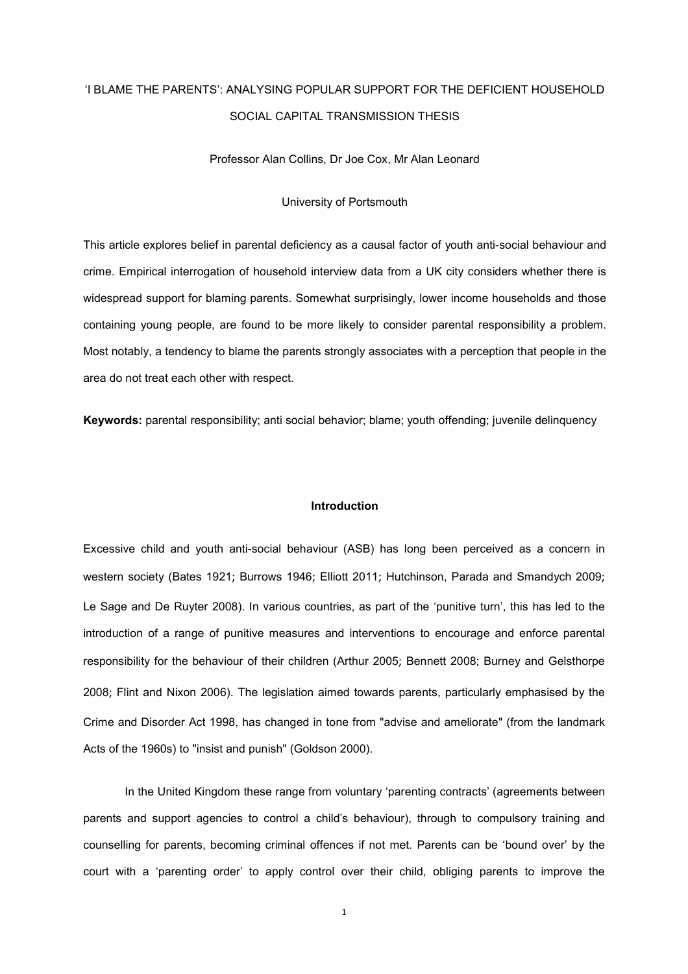# 'I BLAME THE PARENTS': ANALYSING POPULAR SUPPORT FOR THE DEFICIENT HOUSEHOLD SOCIAL CAPITAL TRANSMISSION THESIS

Professor Alan Collins, Dr Joe Cox, Mr Alan Leonard

University of Portsmouth

This article explores belief in parental deficiency as a causal factor of youth anti-social behaviour and crime. Empirical interrogation of household interview data from a UK city considers whether there is widespread support for blaming parents. Somewhat surprisingly, lower income households and those containing young people, are found to be more likely to consider parental responsibility a problem. Most notably, a tendency to blame the parents strongly associates with a perception that people in the area do not treat each other with respect.

**Keywords:** parental responsibility; anti social behavior; blame; youth offending; juvenile delinquency

#### **Introduction**

Excessive child and youth anti-social behaviour (ASB) has long been perceived as a concern in western society (Bates 1921; Burrows 1946; Elliott 2011; Hutchinson, Parada and Smandych 2009; Le Sage and De Ruyter 2008). In various countries, as part of the 'punitive turn', this has led to the introduction of a range of punitive measures and interventions to encourage and enforce parental responsibility for the behaviour of their children (Arthur 2005; Bennett 2008; Burney and Gelsthorpe 2008; Flint and Nixon 2006). The legislation aimed towards parents, particularly emphasised by the Crime and Disorder Act 1998, has changed in tone from "advise and ameliorate" (from the landmark Acts of the 1960s) to "insist and punish" (Goldson 2000).

In the United Kingdom these range from voluntary 'parenting contracts' (agreements between parents and support agencies to control a child's behaviour), through to compulsory training and counselling for parents, becoming criminal offences if not met. Parents can be 'bound over' by the court with a 'parenting order' to apply control over their child, obliging parents to improve the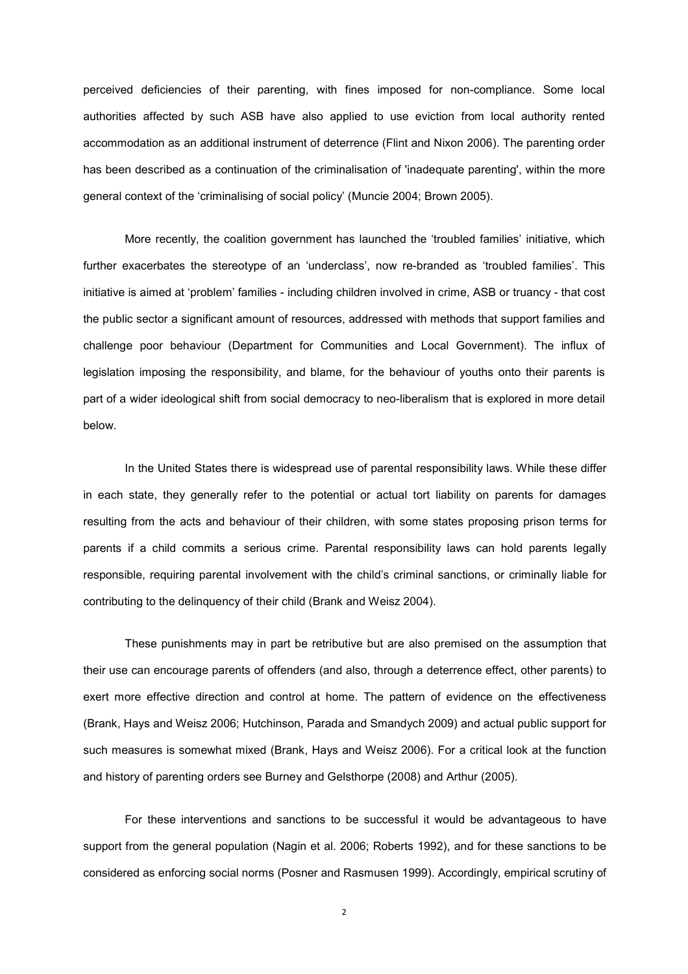perceived deficiencies of their parenting, with fines imposed for non-compliance. Some local authorities affected by such ASB have also applied to use eviction from local authority rented accommodation as an additional instrument of deterrence (Flint and Nixon 2006). The parenting order has been described as a continuation of the criminalisation of 'inadequate parenting', within the more general context of the 'criminalising of social policy' (Muncie 2004; Brown 2005).

More recently, the coalition government has launched the 'troubled families' initiative, which further exacerbates the stereotype of an 'underclass', now re-branded as 'troubled families'. This initiative is aimed at 'problem' families - including children involved in crime, ASB or truancy - that cost the public sector a significant amount of resources, addressed with methods that support families and challenge poor behaviour (Department for Communities and Local Government). The influx of legislation imposing the responsibility, and blame, for the behaviour of youths onto their parents is part of a wider ideological shift from social democracy to neo-liberalism that is explored in more detail below.

In the United States there is widespread use of parental responsibility laws. While these differ in each state, they generally refer to the potential or actual tort liability on parents for damages resulting from the acts and behaviour of their children, with some states proposing prison terms for parents if a child commits a serious crime. Parental responsibility laws can hold parents legally responsible, requiring parental involvement with the child's criminal sanctions, or criminally liable for contributing to the delinquency of their child (Brank and Weisz 2004).

These punishments may in part be retributive but are also premised on the assumption that their use can encourage parents of offenders (and also, through a deterrence effect, other parents) to exert more effective direction and control at home. The pattern of evidence on the effectiveness (Brank, Hays and Weisz 2006; Hutchinson, Parada and Smandych 2009) and actual public support for such measures is somewhat mixed (Brank, Hays and Weisz 2006). For a critical look at the function and history of parenting orders see Burney and Gelsthorpe (2008) and Arthur (2005).

For these interventions and sanctions to be successful it would be advantageous to have support from the general population (Nagin et al. 2006; Roberts 1992), and for these sanctions to be considered as enforcing social norms (Posner and Rasmusen 1999). Accordingly, empirical scrutiny of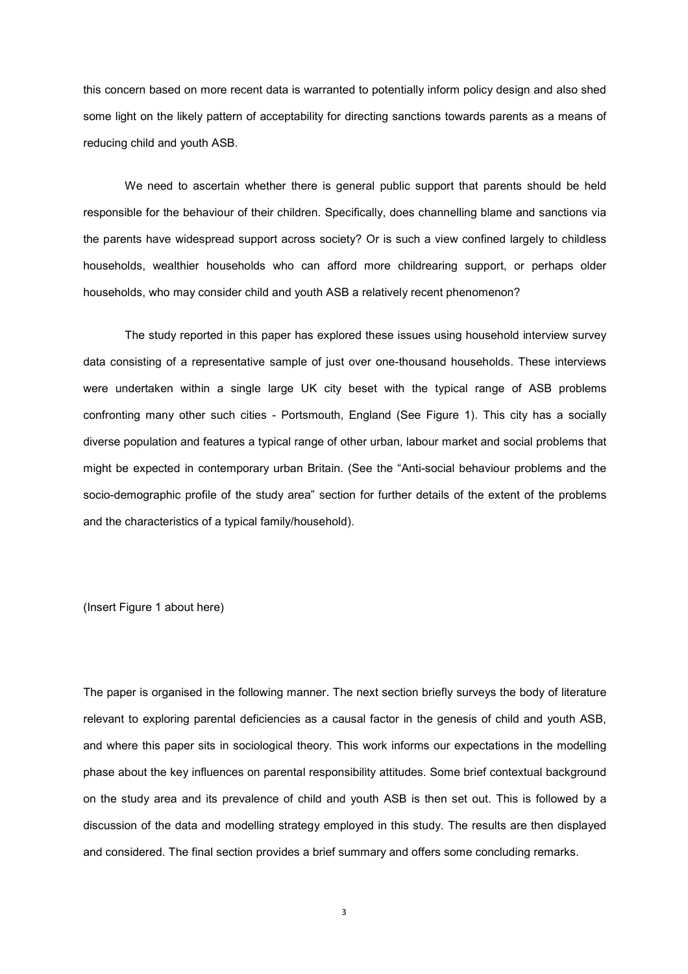this concern based on more recent data is warranted to potentially inform policy design and also shed some light on the likely pattern of acceptability for directing sanctions towards parents as a means of reducing child and youth ASB.

We need to ascertain whether there is general public support that parents should be held responsible for the behaviour of their children. Specifically, does channelling blame and sanctions via the parents have widespread support across society? Or is such a view confined largely to childless households, wealthier households who can afford more childrearing support, or perhaps older households, who may consider child and youth ASB a relatively recent phenomenon?

The study reported in this paper has explored these issues using household interview survey data consisting of a representative sample of just over one-thousand households. These interviews were undertaken within a single large UK city beset with the typical range of ASB problems confronting many other such cities - Portsmouth, England (See Figure 1). This city has a socially diverse population and features a typical range of other urban, labour market and social problems that might be expected in contemporary urban Britain. (See the "Anti-social behaviour problems and the socio-demographic profile of the study area" section for further details of the extent of the problems and the characteristics of a typical family/household).

#### (Insert Figure 1 about here)

The paper is organised in the following manner. The next section briefly surveys the body of literature relevant to exploring parental deficiencies as a causal factor in the genesis of child and youth ASB, and where this paper sits in sociological theory. This work informs our expectations in the modelling phase about the key influences on parental responsibility attitudes. Some brief contextual background on the study area and its prevalence of child and youth ASB is then set out. This is followed by a discussion of the data and modelling strategy employed in this study. The results are then displayed and considered. The final section provides a brief summary and offers some concluding remarks.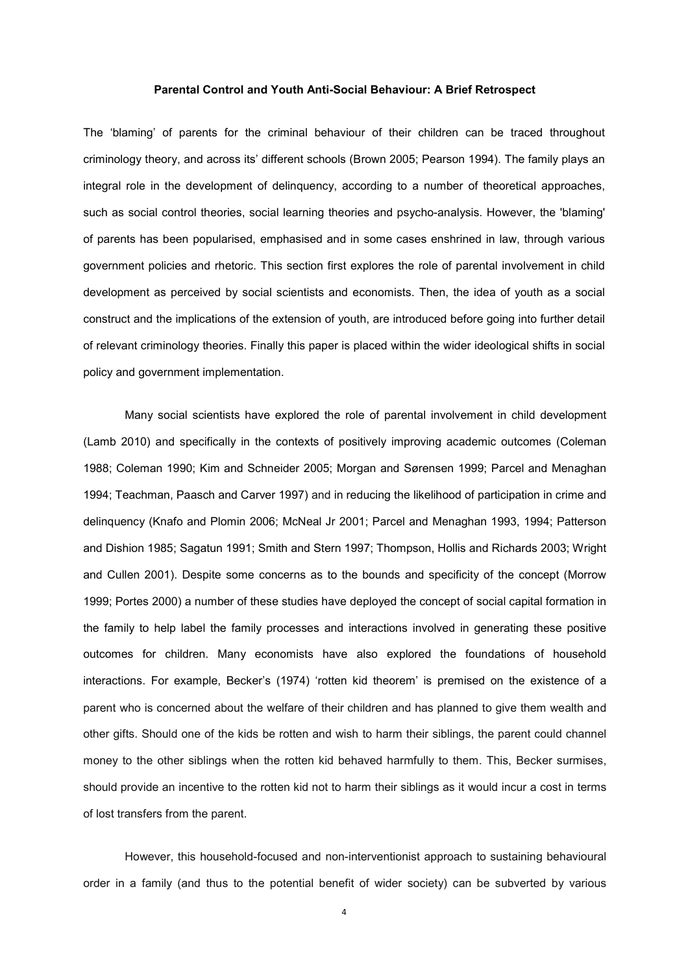#### **Parental Control and Youth Anti-Social Behaviour: A Brief Retrospect**

The 'blaming' of parents for the criminal behaviour of their children can be traced throughout criminology theory, and across its' different schools (Brown 2005; Pearson 1994). The family plays an integral role in the development of delinquency, according to a number of theoretical approaches, such as social control theories, social learning theories and psycho-analysis. However, the 'blaming' of parents has been popularised, emphasised and in some cases enshrined in law, through various government policies and rhetoric. This section first explores the role of parental involvement in child development as perceived by social scientists and economists. Then, the idea of youth as a social construct and the implications of the extension of youth, are introduced before going into further detail of relevant criminology theories. Finally this paper is placed within the wider ideological shifts in social policy and government implementation.

Many social scientists have explored the role of parental involvement in child development (Lamb 2010) and specifically in the contexts of positively improving academic outcomes (Coleman 1988; Coleman 1990; Kim and Schneider 2005; Morgan and Sørensen 1999; Parcel and Menaghan 1994; Teachman, Paasch and Carver 1997) and in reducing the likelihood of participation in crime and delinquency (Knafo and Plomin 2006; McNeal Jr 2001; Parcel and Menaghan 1993, 1994; Patterson and Dishion 1985; Sagatun 1991; Smith and Stern 1997; Thompson, Hollis and Richards 2003; Wright and Cullen 2001). Despite some concerns as to the bounds and specificity of the concept (Morrow 1999; Portes 2000) a number of these studies have deployed the concept of social capital formation in the family to help label the family processes and interactions involved in generating these positive outcomes for children. Many economists have also explored the foundations of household interactions. For example, Becker's (1974) 'rotten kid theorem' is premised on the existence of a parent who is concerned about the welfare of their children and has planned to give them wealth and other gifts. Should one of the kids be rotten and wish to harm their siblings, the parent could channel money to the other siblings when the rotten kid behaved harmfully to them. This, Becker surmises, should provide an incentive to the rotten kid not to harm their siblings as it would incur a cost in terms of lost transfers from the parent.

However, this household-focused and non-interventionist approach to sustaining behavioural order in a family (and thus to the potential benefit of wider society) can be subverted by various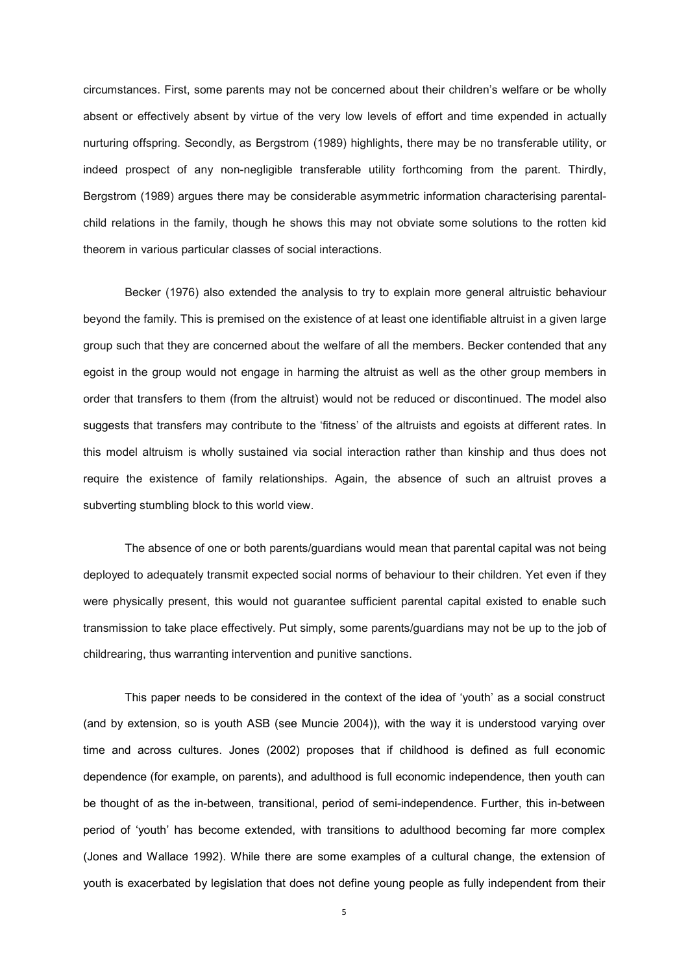circumstances. First, some parents may not be concerned about their children's welfare or be wholly absent or effectively absent by virtue of the very low levels of effort and time expended in actually nurturing offspring. Secondly, as Bergstrom (1989) highlights, there may be no transferable utility, or indeed prospect of any non-negligible transferable utility forthcoming from the parent. Thirdly, Bergstrom (1989) argues there may be considerable asymmetric information characterising parentalchild relations in the family, though he shows this may not obviate some solutions to the rotten kid theorem in various particular classes of social interactions.

Becker (1976) also extended the analysis to try to explain more general altruistic behaviour beyond the family. This is premised on the existence of at least one identifiable altruist in a given large group such that they are concerned about the welfare of all the members. Becker contended that any egoist in the group would not engage in harming the altruist as well as the other group members in order that transfers to them (from the altruist) would not be reduced or discontinued. The model also suggests that transfers may contribute to the 'fitness' of the altruists and egoists at different rates. In this model altruism is wholly sustained via social interaction rather than kinship and thus does not require the existence of family relationships. Again, the absence of such an altruist proves a subverting stumbling block to this world view.

The absence of one or both parents/guardians would mean that parental capital was not being deployed to adequately transmit expected social norms of behaviour to their children. Yet even if they were physically present, this would not guarantee sufficient parental capital existed to enable such transmission to take place effectively. Put simply, some parents/guardians may not be up to the job of childrearing, thus warranting intervention and punitive sanctions.

This paper needs to be considered in the context of the idea of 'youth' as a social construct (and by extension, so is youth ASB (see Muncie 2004)), with the way it is understood varying over time and across cultures. Jones (2002) proposes that if childhood is defined as full economic dependence (for example, on parents), and adulthood is full economic independence, then youth can be thought of as the in-between, transitional, period of semi-independence. Further, this in-between period of 'youth' has become extended, with transitions to adulthood becoming far more complex (Jones and Wallace 1992). While there are some examples of a cultural change, the extension of youth is exacerbated by legislation that does not define young people as fully independent from their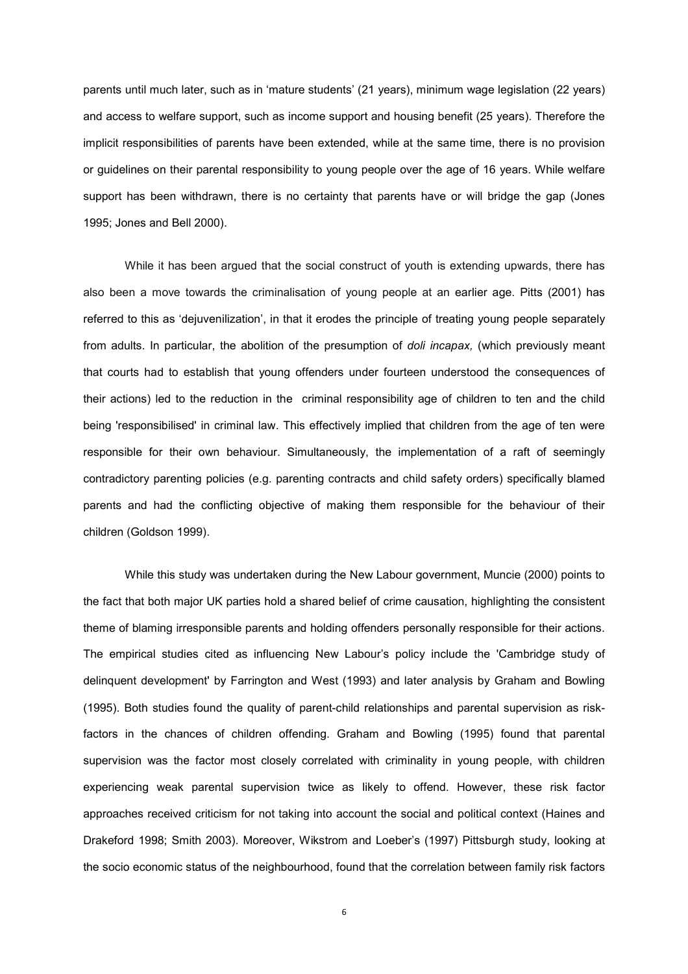parents until much later, such as in 'mature students' (21 years), minimum wage legislation (22 years) and access to welfare support, such as income support and housing benefit (25 years). Therefore the implicit responsibilities of parents have been extended, while at the same time, there is no provision or guidelines on their parental responsibility to young people over the age of 16 years. While welfare support has been withdrawn, there is no certainty that parents have or will bridge the gap (Jones 1995; Jones and Bell 2000).

While it has been argued that the social construct of youth is extending upwards, there has also been a move towards the criminalisation of young people at an earlier age. Pitts (2001) has referred to this as 'dejuvenilization', in that it erodes the principle of treating young people separately from adults. In particular, the abolition of the presumption of *doli incapax,* (which previously meant that courts had to establish that young offenders under fourteen understood the consequences of their actions) led to the reduction in the criminal responsibility age of children to ten and the child being 'responsibilised' in criminal law. This effectively implied that children from the age of ten were responsible for their own behaviour. Simultaneously, the implementation of a raft of seemingly contradictory parenting policies (e.g. parenting contracts and child safety orders) specifically blamed parents and had the conflicting objective of making them responsible for the behaviour of their children (Goldson 1999).

While this study was undertaken during the New Labour government, Muncie (2000) points to the fact that both major UK parties hold a shared belief of crime causation, highlighting the consistent theme of blaming irresponsible parents and holding offenders personally responsible for their actions. The empirical studies cited as influencing New Labour's policy include the 'Cambridge study of delinquent development' by Farrington and West (1993) and later analysis by Graham and Bowling (1995). Both studies found the quality of parent-child relationships and parental supervision as riskfactors in the chances of children offending. Graham and Bowling (1995) found that parental supervision was the factor most closely correlated with criminality in young people, with children experiencing weak parental supervision twice as likely to offend. However, these risk factor approaches received criticism for not taking into account the social and political context (Haines and Drakeford 1998; Smith 2003). Moreover, Wikstrom and Loeber's (1997) Pittsburgh study, looking at the socio economic status of the neighbourhood, found that the correlation between family risk factors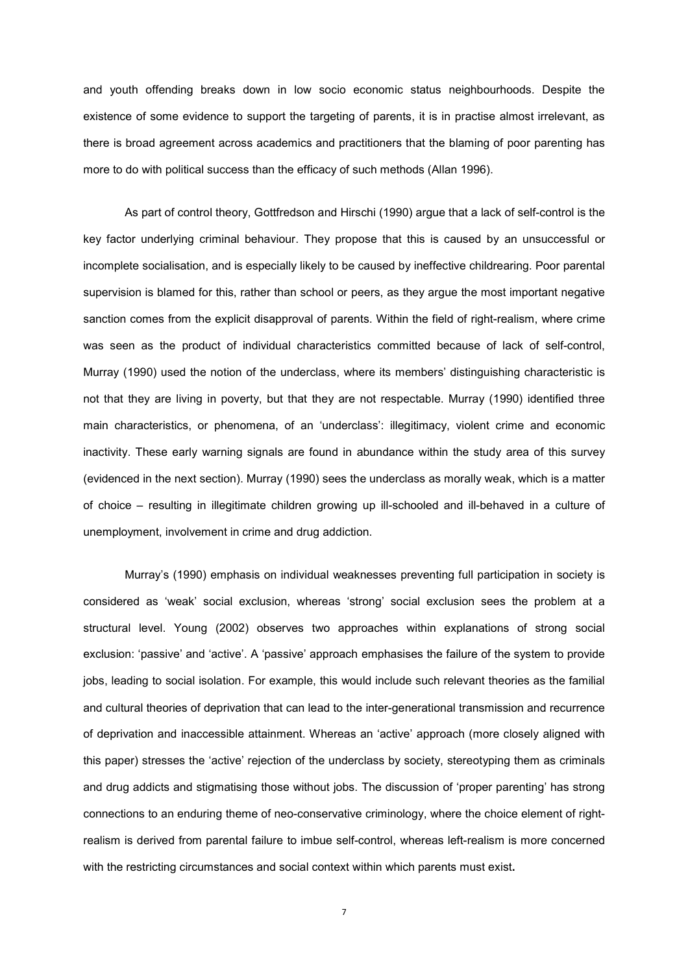and youth offending breaks down in low socio economic status neighbourhoods. Despite the existence of some evidence to support the targeting of parents, it is in practise almost irrelevant, as there is broad agreement across academics and practitioners that the blaming of poor parenting has more to do with political success than the efficacy of such methods (Allan 1996).

As part of control theory, Gottfredson and Hirschi (1990) argue that a lack of self-control is the key factor underlying criminal behaviour. They propose that this is caused by an unsuccessful or incomplete socialisation, and is especially likely to be caused by ineffective childrearing. Poor parental supervision is blamed for this, rather than school or peers, as they argue the most important negative sanction comes from the explicit disapproval of parents. Within the field of right-realism, where crime was seen as the product of individual characteristics committed because of lack of self-control, Murray (1990) used the notion of the underclass, where its members' distinguishing characteristic is not that they are living in poverty, but that they are not respectable. Murray (1990) identified three main characteristics, or phenomena, of an 'underclass': illegitimacy, violent crime and economic inactivity. These early warning signals are found in abundance within the study area of this survey (evidenced in the next section). Murray (1990) sees the underclass as morally weak, which is a matter of choice – resulting in illegitimate children growing up ill-schooled and ill-behaved in a culture of unemployment, involvement in crime and drug addiction.

Murray's (1990) emphasis on individual weaknesses preventing full participation in society is considered as 'weak' social exclusion, whereas 'strong' social exclusion sees the problem at a structural level. Young (2002) observes two approaches within explanations of strong social exclusion: 'passive' and 'active'. A 'passive' approach emphasises the failure of the system to provide jobs, leading to social isolation. For example, this would include such relevant theories as the familial and cultural theories of deprivation that can lead to the inter-generational transmission and recurrence of deprivation and inaccessible attainment. Whereas an 'active' approach (more closely aligned with this paper) stresses the 'active' rejection of the underclass by society, stereotyping them as criminals and drug addicts and stigmatising those without jobs. The discussion of 'proper parenting' has strong connections to an enduring theme of neo-conservative criminology, where the choice element of rightrealism is derived from parental failure to imbue self-control, whereas left-realism is more concerned with the restricting circumstances and social context within which parents must exist**.**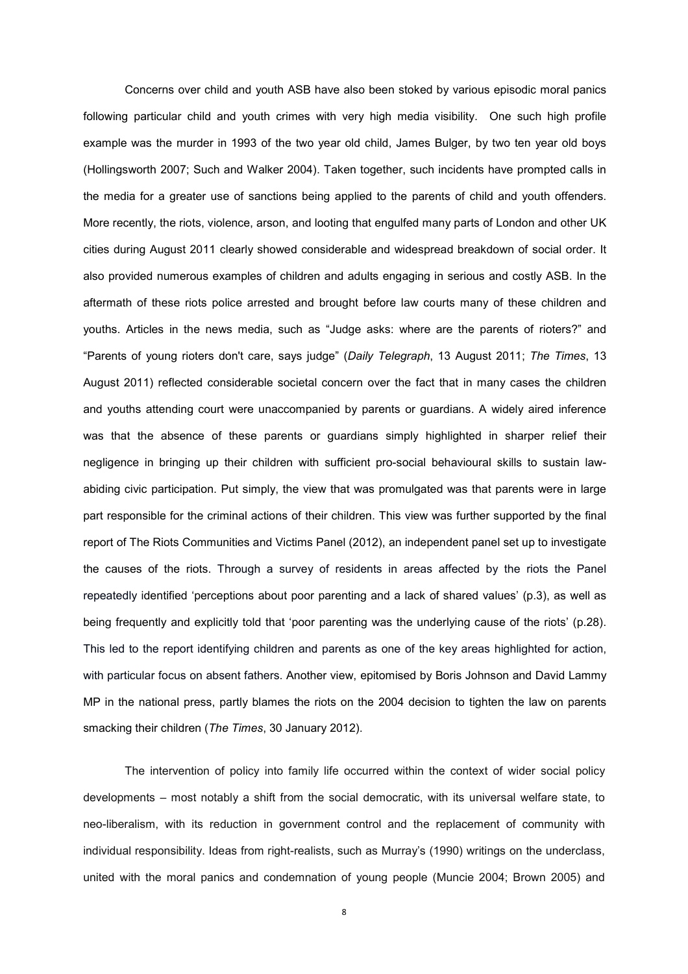Concerns over child and youth ASB have also been stoked by various episodic moral panics following particular child and youth crimes with very high media visibility. One such high profile example was the murder in 1993 of the two year old child, James Bulger, by two ten year old boys (Hollingsworth 2007; Such and Walker 2004). Taken together, such incidents have prompted calls in the media for a greater use of sanctions being applied to the parents of child and youth offenders. More recently, the riots, violence, arson, and looting that engulfed many parts of London and other UK cities during August 2011 clearly showed considerable and widespread breakdown of social order. It also provided numerous examples of children and adults engaging in serious and costly ASB. In the aftermath of these riots police arrested and brought before law courts many of these children and youths. Articles in the news media, such as "Judge asks: where are the parents of rioters?" and "Parents of young rioters don't care, says judge" (*Daily Telegraph*, 13 August 2011; *The Times*, 13 August 2011) reflected considerable societal concern over the fact that in many cases the children and youths attending court were unaccompanied by parents or guardians. A widely aired inference was that the absence of these parents or guardians simply highlighted in sharper relief their negligence in bringing up their children with sufficient pro-social behavioural skills to sustain lawabiding civic participation. Put simply, the view that was promulgated was that parents were in large part responsible for the criminal actions of their children. This view was further supported by the final report of The Riots Communities and Victims Panel (2012), an independent panel set up to investigate the causes of the riots. Through a survey of residents in areas affected by the riots the Panel repeatedly identified 'perceptions about poor parenting and a lack of shared values' (p.3), as well as being frequently and explicitly told that 'poor parenting was the underlying cause of the riots' (p.28). This led to the report identifying children and parents as one of the key areas highlighted for action, with particular focus on absent fathers. Another view, epitomised by Boris Johnson and David Lammy MP in the national press, partly blames the riots on the 2004 decision to tighten the law on parents smacking their children (*The Times*, 30 January 2012).

The intervention of policy into family life occurred within the context of wider social policy developments – most notably a shift from the social democratic, with its universal welfare state, to neo-liberalism, with its reduction in government control and the replacement of community with individual responsibility. Ideas from right-realists, such as Murray's (1990) writings on the underclass, united with the moral panics and condemnation of young people (Muncie 2004; Brown 2005) and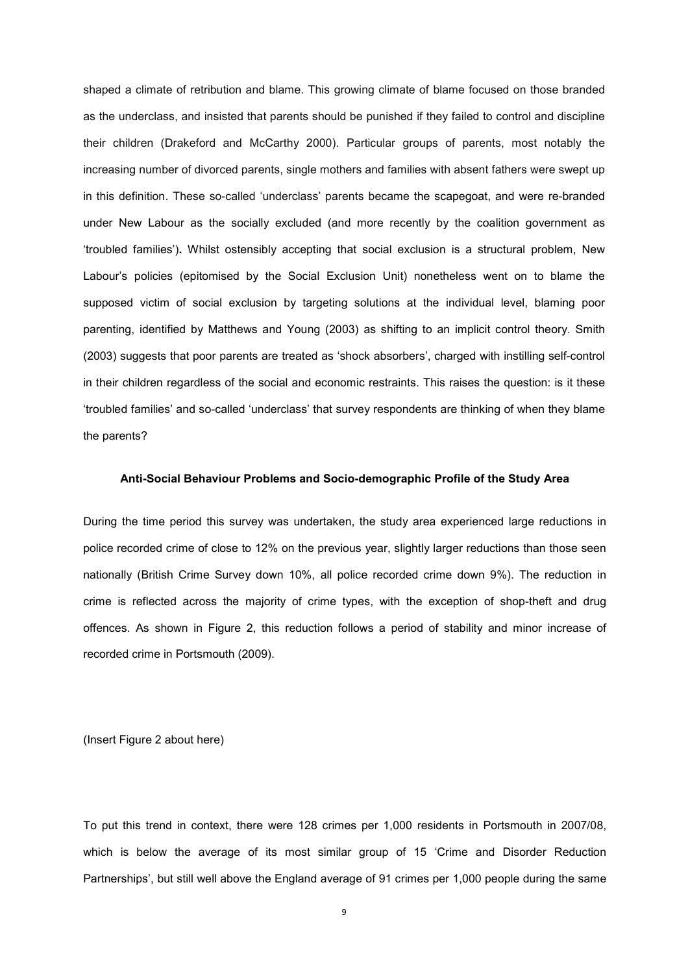shaped a climate of retribution and blame. This growing climate of blame focused on those branded as the underclass, and insisted that parents should be punished if they failed to control and discipline their children (Drakeford and McCarthy 2000). Particular groups of parents, most notably the increasing number of divorced parents, single mothers and families with absent fathers were swept up in this definition. These so-called 'underclass' parents became the scapegoat, and were re-branded under New Labour as the socially excluded (and more recently by the coalition government as 'troubled families')**.** Whilst ostensibly accepting that social exclusion is a structural problem, New Labour's policies (epitomised by the Social Exclusion Unit) nonetheless went on to blame the supposed victim of social exclusion by targeting solutions at the individual level, blaming poor parenting, identified by Matthews and Young (2003) as shifting to an implicit control theory. Smith (2003) suggests that poor parents are treated as 'shock absorbers', charged with instilling self-control in their children regardless of the social and economic restraints. This raises the question: is it these 'troubled families' and so-called 'underclass' that survey respondents are thinking of when they blame the parents?

#### **Anti-Social Behaviour Problems and Socio-demographic Profile of the Study Area**

During the time period this survey was undertaken, the study area experienced large reductions in police recorded crime of close to 12% on the previous year, slightly larger reductions than those seen nationally (British Crime Survey down 10%, all police recorded crime down 9%). The reduction in crime is reflected across the majority of crime types, with the exception of shop-theft and drug offences. As shown in Figure 2, this reduction follows a period of stability and minor increase of recorded crime in Portsmouth (2009).

(Insert Figure 2 about here)

To put this trend in context, there were 128 crimes per 1,000 residents in Portsmouth in 2007/08, which is below the average of its most similar group of 15 'Crime and Disorder Reduction Partnerships', but still well above the England average of 91 crimes per 1,000 people during the same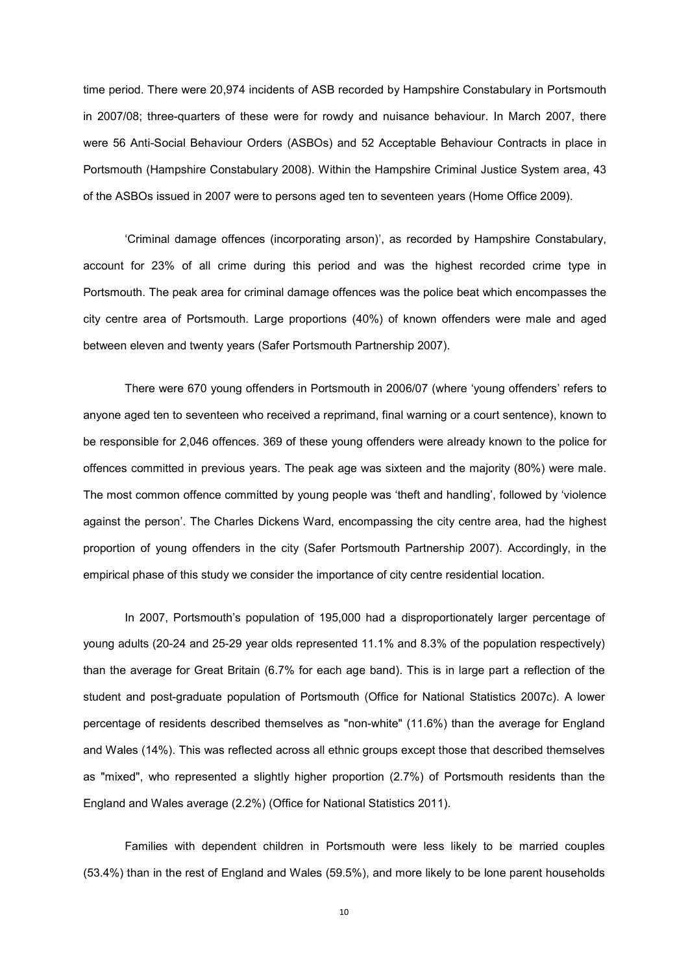time period. There were 20,974 incidents of ASB recorded by Hampshire Constabulary in Portsmouth in 2007/08; three-quarters of these were for rowdy and nuisance behaviour. In March 2007, there were 56 Anti-Social Behaviour Orders (ASBOs) and 52 Acceptable Behaviour Contracts in place in Portsmouth (Hampshire Constabulary 2008). Within the Hampshire Criminal Justice System area, 43 of the ASBOs issued in 2007 were to persons aged ten to seventeen years (Home Office 2009).

'Criminal damage offences (incorporating arson)', as recorded by Hampshire Constabulary, account for 23% of all crime during this period and was the highest recorded crime type in Portsmouth. The peak area for criminal damage offences was the police beat which encompasses the city centre area of Portsmouth. Large proportions (40%) of known offenders were male and aged between eleven and twenty years (Safer Portsmouth Partnership 2007).

There were 670 young offenders in Portsmouth in 2006/07 (where 'young offenders' refers to anyone aged ten to seventeen who received a reprimand, final warning or a court sentence), known to be responsible for 2,046 offences. 369 of these young offenders were already known to the police for offences committed in previous years. The peak age was sixteen and the majority (80%) were male. The most common offence committed by young people was 'theft and handling', followed by 'violence against the person'. The Charles Dickens Ward, encompassing the city centre area, had the highest proportion of young offenders in the city (Safer Portsmouth Partnership 2007). Accordingly, in the empirical phase of this study we consider the importance of city centre residential location.

In 2007, Portsmouth's population of 195,000 had a disproportionately larger percentage of young adults (20-24 and 25-29 year olds represented 11.1% and 8.3% of the population respectively) than the average for Great Britain (6.7% for each age band). This is in large part a reflection of the student and post-graduate population of Portsmouth (Office for National Statistics 2007c). A lower percentage of residents described themselves as "non-white" (11.6%) than the average for England and Wales (14%). This was reflected across all ethnic groups except those that described themselves as "mixed", who represented a slightly higher proportion (2.7%) of Portsmouth residents than the England and Wales average (2.2%) (Office for National Statistics 2011).

Families with dependent children in Portsmouth were less likely to be married couples (53.4%) than in the rest of England and Wales (59.5%), and more likely to be lone parent households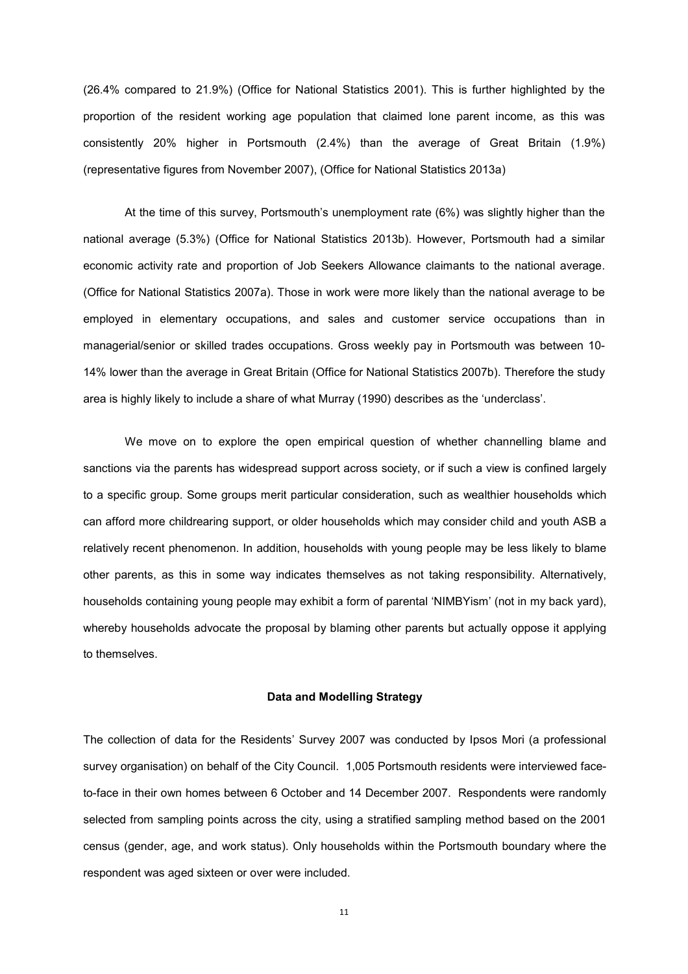(26.4% compared to 21.9%) (Office for National Statistics 2001). This is further highlighted by the proportion of the resident working age population that claimed lone parent income, as this was consistently 20% higher in Portsmouth (2.4%) than the average of Great Britain (1.9%) (representative figures from November 2007), (Office for National Statistics 2013a)

At the time of this survey, Portsmouth's unemployment rate (6%) was slightly higher than the national average (5.3%) (Office for National Statistics 2013b). However, Portsmouth had a similar economic activity rate and proportion of Job Seekers Allowance claimants to the national average. (Office for National Statistics 2007a). Those in work were more likely than the national average to be employed in elementary occupations, and sales and customer service occupations than in managerial/senior or skilled trades occupations. Gross weekly pay in Portsmouth was between 10- 14% lower than the average in Great Britain (Office for National Statistics 2007b). Therefore the study area is highly likely to include a share of what Murray (1990) describes as the 'underclass'.

We move on to explore the open empirical question of whether channelling blame and sanctions via the parents has widespread support across society, or if such a view is confined largely to a specific group. Some groups merit particular consideration, such as wealthier households which can afford more childrearing support, or older households which may consider child and youth ASB a relatively recent phenomenon. In addition, households with young people may be less likely to blame other parents, as this in some way indicates themselves as not taking responsibility. Alternatively, households containing young people may exhibit a form of parental 'NIMBYism' (not in my back yard), whereby households advocate the proposal by blaming other parents but actually oppose it applying to themselves.

#### **Data and Modelling Strategy**

The collection of data for the Residents' Survey 2007 was conducted by Ipsos Mori (a professional survey organisation) on behalf of the City Council. 1,005 Portsmouth residents were interviewed faceto-face in their own homes between 6 October and 14 December 2007. Respondents were randomly selected from sampling points across the city, using a stratified sampling method based on the 2001 census (gender, age, and work status). Only households within the Portsmouth boundary where the respondent was aged sixteen or over were included.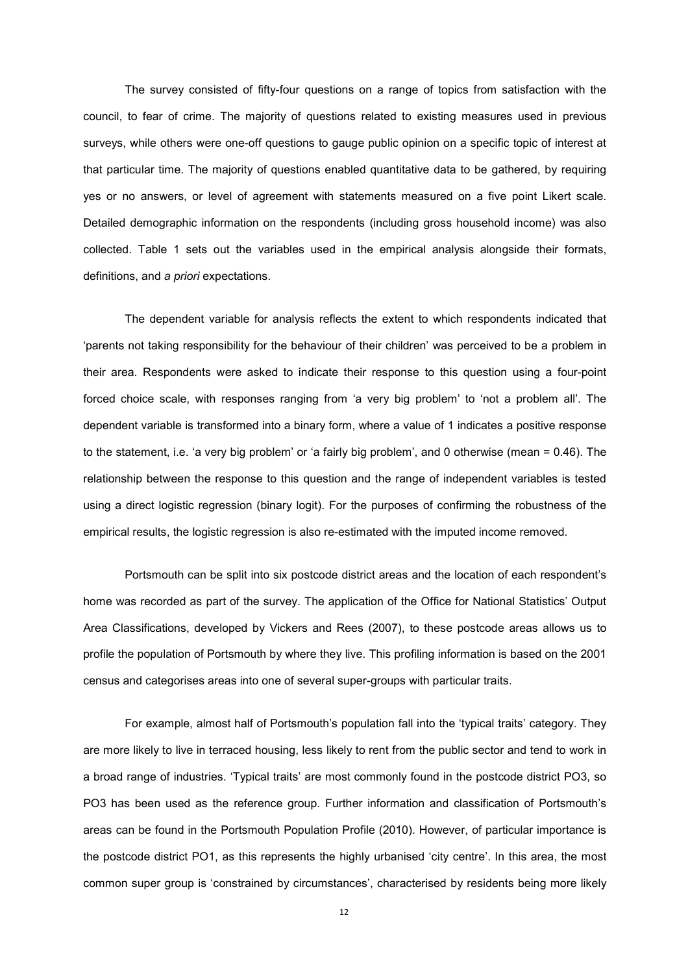The survey consisted of fifty-four questions on a range of topics from satisfaction with the council, to fear of crime. The majority of questions related to existing measures used in previous surveys, while others were one-off questions to gauge public opinion on a specific topic of interest at that particular time. The majority of questions enabled quantitative data to be gathered, by requiring yes or no answers, or level of agreement with statements measured on a five point Likert scale. Detailed demographic information on the respondents (including gross household income) was also collected. Table 1 sets out the variables used in the empirical analysis alongside their formats, definitions, and *a priori* expectations.

The dependent variable for analysis reflects the extent to which respondents indicated that 'parents not taking responsibility for the behaviour of their children' was perceived to be a problem in their area. Respondents were asked to indicate their response to this question using a four-point forced choice scale, with responses ranging from 'a very big problem' to 'not a problem all'. The dependent variable is transformed into a binary form, where a value of 1 indicates a positive response to the statement, i.e. 'a very big problem' or 'a fairly big problem', and 0 otherwise (mean = 0.46). The relationship between the response to this question and the range of independent variables is tested using a direct logistic regression (binary logit). For the purposes of confirming the robustness of the empirical results, the logistic regression is also re-estimated with the imputed income removed.

Portsmouth can be split into six postcode district areas and the location of each respondent's home was recorded as part of the survey. The application of the Office for National Statistics' Output Area Classifications, developed by Vickers and Rees (2007), to these postcode areas allows us to profile the population of Portsmouth by where they live. This profiling information is based on the 2001 census and categorises areas into one of several super-groups with particular traits.

For example, almost half of Portsmouth's population fall into the 'typical traits' category. They are more likely to live in terraced housing, less likely to rent from the public sector and tend to work in a broad range of industries. 'Typical traits' are most commonly found in the postcode district PO3, so PO3 has been used as the reference group. Further information and classification of Portsmouth's areas can be found in the Portsmouth Population Profile (2010). However, of particular importance is the postcode district PO1, as this represents the highly urbanised 'city centre'. In this area, the most common super group is 'constrained by circumstances', characterised by residents being more likely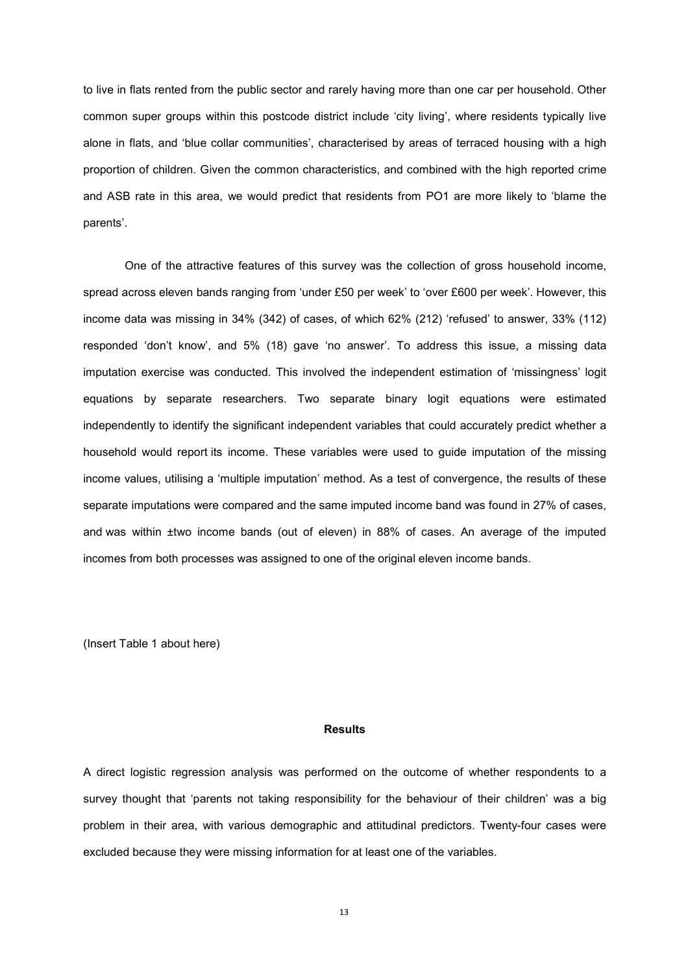to live in flats rented from the public sector and rarely having more than one car per household. Other common super groups within this postcode district include 'city living', where residents typically live alone in flats, and 'blue collar communities', characterised by areas of terraced housing with a high proportion of children. Given the common characteristics, and combined with the high reported crime and ASB rate in this area, we would predict that residents from PO1 are more likely to 'blame the parents'.

One of the attractive features of this survey was the collection of gross household income, spread across eleven bands ranging from 'under £50 per week' to 'over £600 per week'. However, this income data was missing in 34% (342) of cases, of which 62% (212) 'refused' to answer, 33% (112) responded 'don't know', and 5% (18) gave 'no answer'. To address this issue, a missing data imputation exercise was conducted. This involved the independent estimation of 'missingness' logit equations by separate researchers. Two separate binary logit equations were estimated independently to identify the significant independent variables that could accurately predict whether a household would report its income. These variables were used to guide imputation of the missing income values, utilising a 'multiple imputation' method. As a test of convergence, the results of these separate imputations were compared and the same imputed income band was found in 27% of cases, and was within ±two income bands (out of eleven) in 88% of cases. An average of the imputed incomes from both processes was assigned to one of the original eleven income bands.

(Insert Table 1 about here)

#### **Results**

A direct logistic regression analysis was performed on the outcome of whether respondents to a survey thought that 'parents not taking responsibility for the behaviour of their children' was a big problem in their area, with various demographic and attitudinal predictors. Twenty-four cases were excluded because they were missing information for at least one of the variables.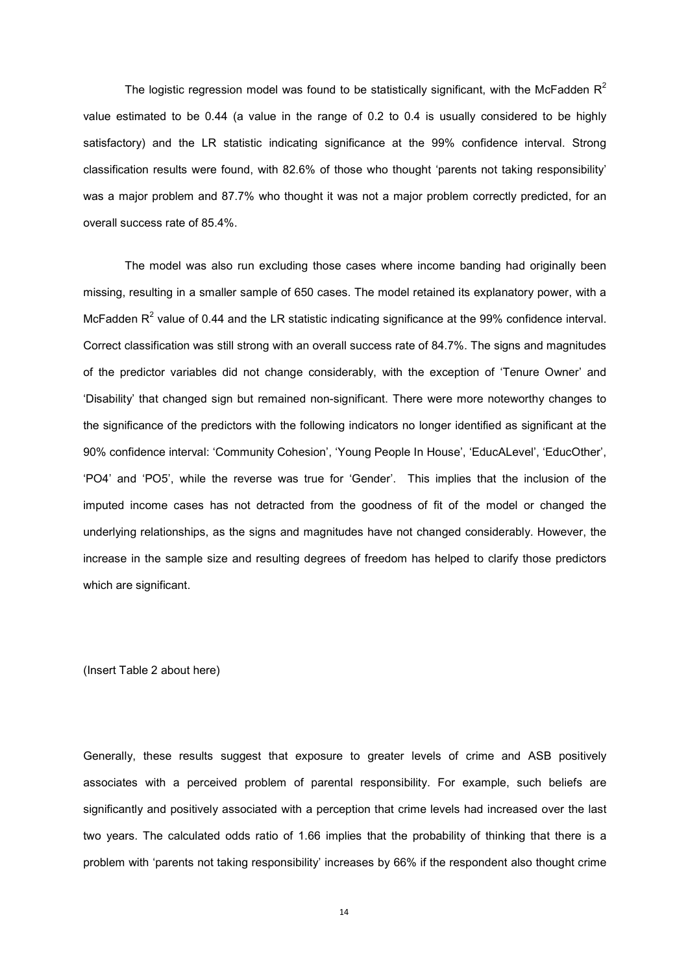The logistic regression model was found to be statistically significant, with the McFadden  $R^2$ value estimated to be 0.44 (a value in the range of 0.2 to 0.4 is usually considered to be highly satisfactory) and the LR statistic indicating significance at the 99% confidence interval. Strong classification results were found, with 82.6% of those who thought 'parents not taking responsibility' was a major problem and 87.7% who thought it was not a major problem correctly predicted, for an overall success rate of 85.4%.

The model was also run excluding those cases where income banding had originally been missing, resulting in a smaller sample of 650 cases. The model retained its explanatory power, with a McFadden  $R^2$  value of 0.44 and the LR statistic indicating significance at the 99% confidence interval. Correct classification was still strong with an overall success rate of 84.7%. The signs and magnitudes of the predictor variables did not change considerably, with the exception of 'Tenure Owner' and 'Disability' that changed sign but remained non-significant. There were more noteworthy changes to the significance of the predictors with the following indicators no longer identified as significant at the 90% confidence interval: 'Community Cohesion', 'Young People In House', 'EducALevel', 'EducOther', 'PO4' and 'PO5', while the reverse was true for 'Gender'. This implies that the inclusion of the imputed income cases has not detracted from the goodness of fit of the model or changed the underlying relationships, as the signs and magnitudes have not changed considerably. However, the increase in the sample size and resulting degrees of freedom has helped to clarify those predictors which are significant.

(Insert Table 2 about here)

Generally, these results suggest that exposure to greater levels of crime and ASB positively associates with a perceived problem of parental responsibility. For example, such beliefs are significantly and positively associated with a perception that crime levels had increased over the last two years. The calculated odds ratio of 1.66 implies that the probability of thinking that there is a problem with 'parents not taking responsibility' increases by 66% if the respondent also thought crime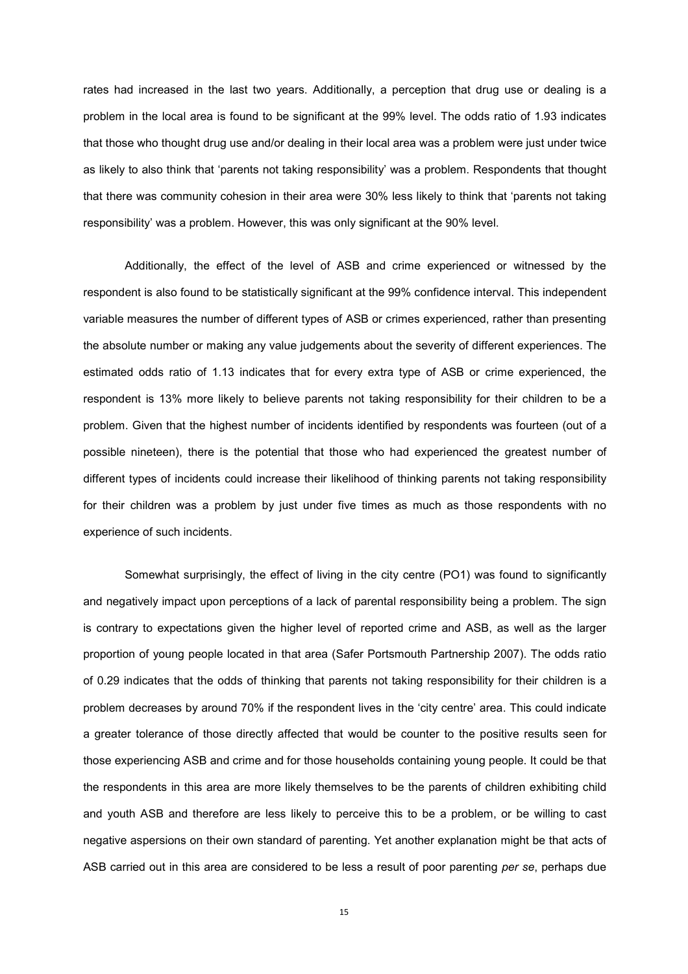rates had increased in the last two years. Additionally, a perception that drug use or dealing is a problem in the local area is found to be significant at the 99% level. The odds ratio of 1.93 indicates that those who thought drug use and/or dealing in their local area was a problem were just under twice as likely to also think that 'parents not taking responsibility' was a problem. Respondents that thought that there was community cohesion in their area were 30% less likely to think that 'parents not taking responsibility' was a problem. However, this was only significant at the 90% level.

Additionally, the effect of the level of ASB and crime experienced or witnessed by the respondent is also found to be statistically significant at the 99% confidence interval. This independent variable measures the number of different types of ASB or crimes experienced, rather than presenting the absolute number or making any value judgements about the severity of different experiences. The estimated odds ratio of 1.13 indicates that for every extra type of ASB or crime experienced, the respondent is 13% more likely to believe parents not taking responsibility for their children to be a problem. Given that the highest number of incidents identified by respondents was fourteen (out of a possible nineteen), there is the potential that those who had experienced the greatest number of different types of incidents could increase their likelihood of thinking parents not taking responsibility for their children was a problem by just under five times as much as those respondents with no experience of such incidents.

Somewhat surprisingly, the effect of living in the city centre (PO1) was found to significantly and negatively impact upon perceptions of a lack of parental responsibility being a problem. The sign is contrary to expectations given the higher level of reported crime and ASB, as well as the larger proportion of young people located in that area (Safer Portsmouth Partnership 2007). The odds ratio of 0.29 indicates that the odds of thinking that parents not taking responsibility for their children is a problem decreases by around 70% if the respondent lives in the 'city centre' area. This could indicate a greater tolerance of those directly affected that would be counter to the positive results seen for those experiencing ASB and crime and for those households containing young people. It could be that the respondents in this area are more likely themselves to be the parents of children exhibiting child and youth ASB and therefore are less likely to perceive this to be a problem, or be willing to cast negative aspersions on their own standard of parenting. Yet another explanation might be that acts of ASB carried out in this area are considered to be less a result of poor parenting *per se*, perhaps due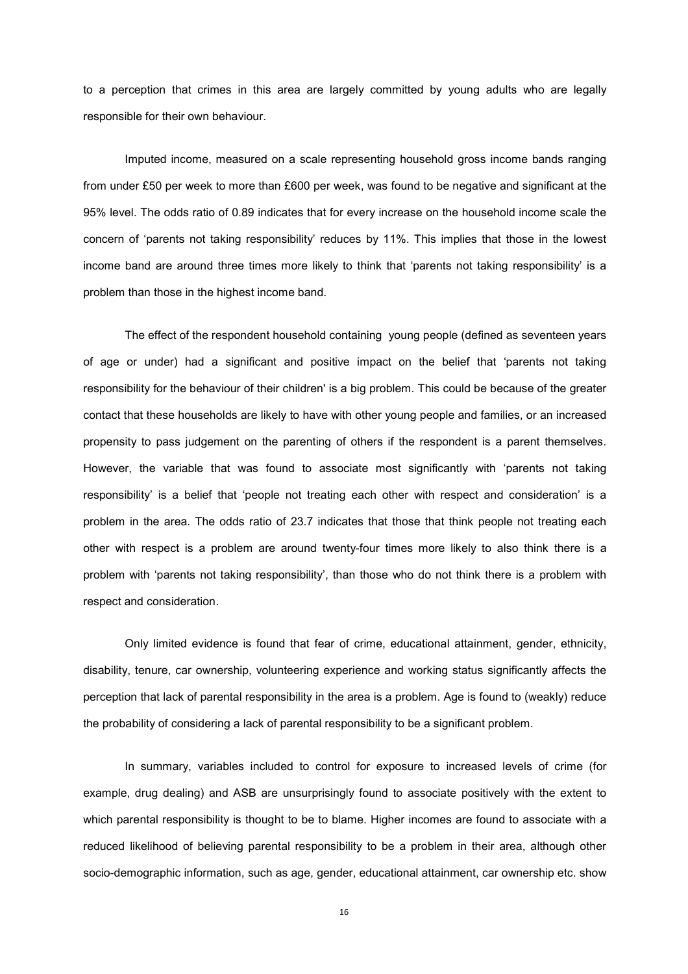to a perception that crimes in this area are largely committed by young adults who are legally responsible for their own behaviour.

Imputed income, measured on a scale representing household gross income bands ranging from under £50 per week to more than £600 per week, was found to be negative and significant at the 95% level. The odds ratio of 0.89 indicates that for every increase on the household income scale the concern of 'parents not taking responsibility' reduces by 11%. This implies that those in the lowest income band are around three times more likely to think that 'parents not taking responsibility' is a problem than those in the highest income band.

The effect of the respondent household containing young people (defined as seventeen years of age or under) had a significant and positive impact on the belief that 'parents not taking responsibility for the behaviour of their children' is a big problem. This could be because of the greater contact that these households are likely to have with other young people and families, or an increased propensity to pass judgement on the parenting of others if the respondent is a parent themselves. However, the variable that was found to associate most significantly with 'parents not taking responsibility' is a belief that 'people not treating each other with respect and consideration' is a problem in the area. The odds ratio of 23.7 indicates that those that think people not treating each other with respect is a problem are around twenty-four times more likely to also think there is a problem with 'parents not taking responsibility', than those who do not think there is a problem with respect and consideration.

Only limited evidence is found that fear of crime, educational attainment, gender, ethnicity, disability, tenure, car ownership, volunteering experience and working status significantly affects the perception that lack of parental responsibility in the area is a problem. Age is found to (weakly) reduce the probability of considering a lack of parental responsibility to be a significant problem.

In summary, variables included to control for exposure to increased levels of crime (for example, drug dealing) and ASB are unsurprisingly found to associate positively with the extent to which parental responsibility is thought to be to blame. Higher incomes are found to associate with a reduced likelihood of believing parental responsibility to be a problem in their area, although other socio-demographic information, such as age, gender, educational attainment, car ownership etc. show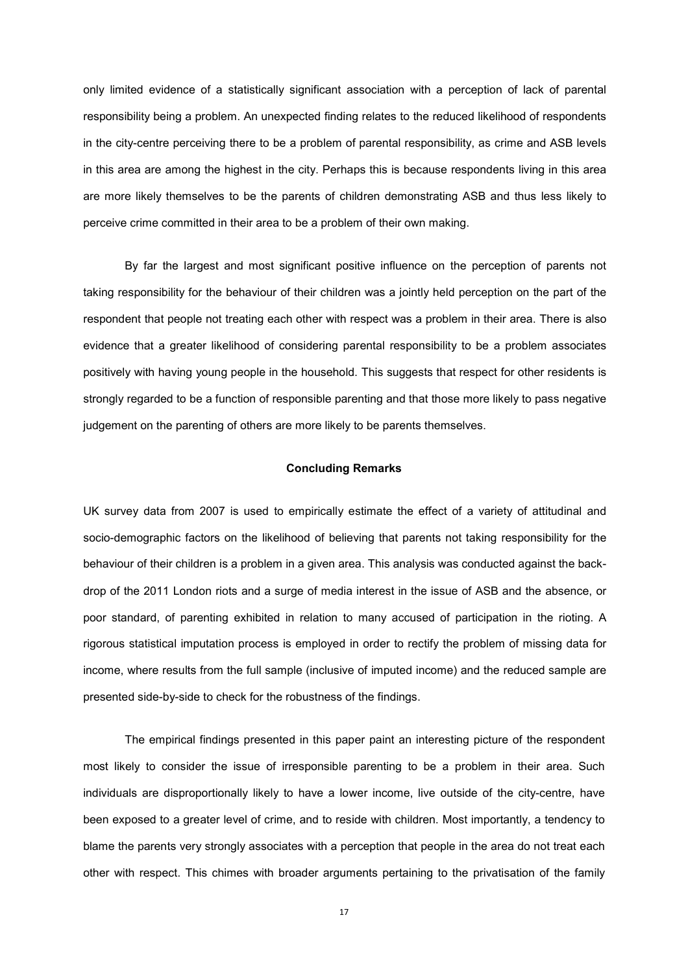only limited evidence of a statistically significant association with a perception of lack of parental responsibility being a problem. An unexpected finding relates to the reduced likelihood of respondents in the city-centre perceiving there to be a problem of parental responsibility, as crime and ASB levels in this area are among the highest in the city. Perhaps this is because respondents living in this area are more likely themselves to be the parents of children demonstrating ASB and thus less likely to perceive crime committed in their area to be a problem of their own making.

By far the largest and most significant positive influence on the perception of parents not taking responsibility for the behaviour of their children was a jointly held perception on the part of the respondent that people not treating each other with respect was a problem in their area. There is also evidence that a greater likelihood of considering parental responsibility to be a problem associates positively with having young people in the household. This suggests that respect for other residents is strongly regarded to be a function of responsible parenting and that those more likely to pass negative judgement on the parenting of others are more likely to be parents themselves.

#### **Concluding Remarks**

UK survey data from 2007 is used to empirically estimate the effect of a variety of attitudinal and socio-demographic factors on the likelihood of believing that parents not taking responsibility for the behaviour of their children is a problem in a given area. This analysis was conducted against the backdrop of the 2011 London riots and a surge of media interest in the issue of ASB and the absence, or poor standard, of parenting exhibited in relation to many accused of participation in the rioting. A rigorous statistical imputation process is employed in order to rectify the problem of missing data for income, where results from the full sample (inclusive of imputed income) and the reduced sample are presented side-by-side to check for the robustness of the findings.

The empirical findings presented in this paper paint an interesting picture of the respondent most likely to consider the issue of irresponsible parenting to be a problem in their area. Such individuals are disproportionally likely to have a lower income, live outside of the city-centre, have been exposed to a greater level of crime, and to reside with children. Most importantly, a tendency to blame the parents very strongly associates with a perception that people in the area do not treat each other with respect. This chimes with broader arguments pertaining to the privatisation of the family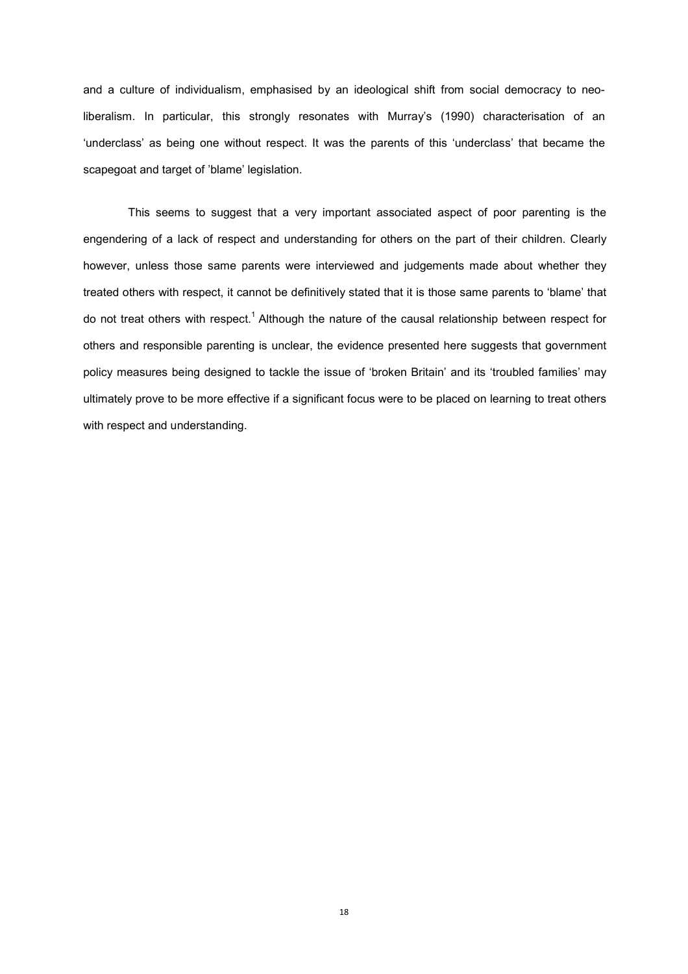and a culture of individualism, emphasised by an ideological shift from social democracy to neoliberalism. In particular, this strongly resonates with Murray's (1990) characterisation of an 'underclass' as being one without respect. It was the parents of this 'underclass' that became the scapegoat and target of 'blame' legislation.

 This seems to suggest that a very important associated aspect of poor parenting is the engendering of a lack of respect and understanding for others on the part of their children. Clearly however, unless those same parents were interviewed and judgements made about whether they treated others with respect, it cannot be definitively stated that it is those same parents to 'blame' that do not treat others with respect.<sup>1</sup> Although the nature of the causal relationship between respect for others and responsible parenting is unclear, the evidence presented here suggests that government policy measures being designed to tackle the issue of 'broken Britain' and its 'troubled families' may ultimately prove to be more effective if a significant focus were to be placed on learning to treat others with respect and understanding.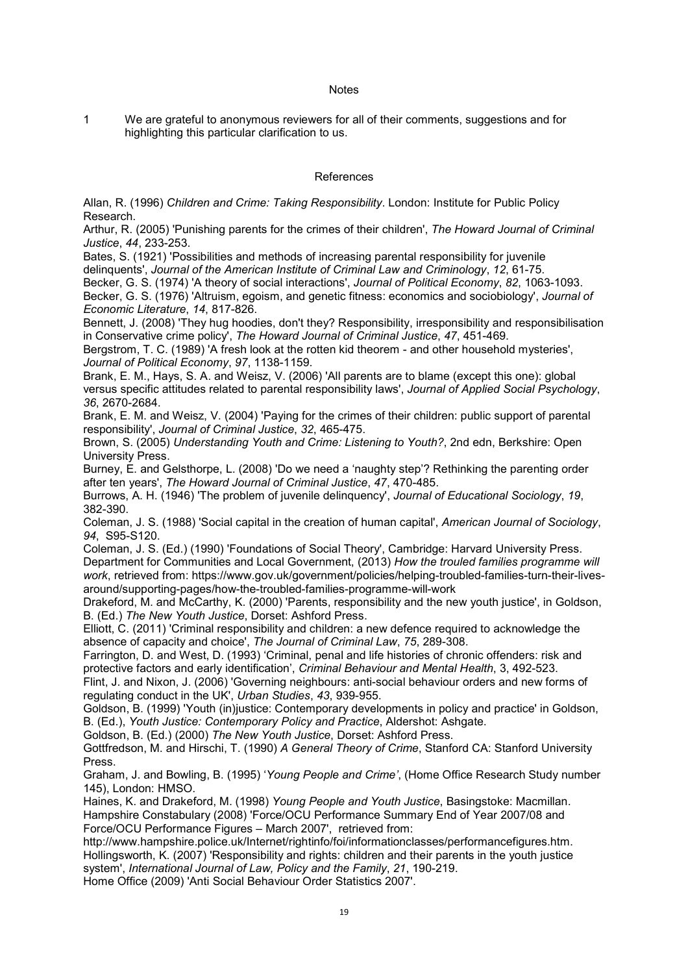#### Notes

1 We are grateful to anonymous reviewers for all of their comments, suggestions and for highlighting this particular clarification to us.

### References

Allan, R. (1996) *Children and Crime: Taking Responsibility*. London: Institute for Public Policy Research.

Arthur, R. (2005) 'Punishing parents for the crimes of their children', *The Howard Journal of Criminal Justice*, *44*, 233-253.

Bates, S. (1921) 'Possibilities and methods of increasing parental responsibility for juvenile delinquents', *Journal of the American Institute of Criminal Law and Criminology*, *12*, 61-75.

Becker, G. S. (1974) 'A theory of social interactions', *Journal of Political Economy*, *82*, 1063-1093. Becker, G. S. (1976) 'Altruism, egoism, and genetic fitness: economics and sociobiology', *Journal of Economic Literature*, *14*, 817-826.

Bennett, J. (2008) 'They hug hoodies, don't they? Responsibility, irresponsibility and responsibilisation in Conservative crime policy', *The Howard Journal of Criminal Justice*, *47*, 451-469.

Bergstrom, T. C. (1989) 'A fresh look at the rotten kid theorem - and other household mysteries', *Journal of Political Economy*, *97*, 1138-1159.

Brank, E. M., Hays, S. A. and Weisz, V. (2006) 'All parents are to blame (except this one): global versus specific attitudes related to parental responsibility laws', *Journal of Applied Social Psychology*, *36*, 2670-2684.

Brank, E. M. and Weisz, V. (2004) 'Paying for the crimes of their children: public support of parental responsibility', *Journal of Criminal Justice*, *32*, 465-475.

Brown, S. (2005) *Understanding Youth and Crime: Listening to Youth?*, 2nd edn, Berkshire: Open University Press.

Burney, E. and Gelsthorpe, L. (2008) 'Do we need a 'naughty step'? Rethinking the parenting order after ten years', *The Howard Journal of Criminal Justice*, *47*, 470-485.

Burrows, A. H. (1946) 'The problem of juvenile delinquency', *Journal of Educational Sociology*, *19*, 382-390.

Coleman, J. S. (1988) 'Social capital in the creation of human capital', *American Journal of Sociology*, *94*, S95-S120.

Coleman, J. S. (Ed.) (1990) 'Foundations of Social Theory', Cambridge: Harvard University Press. Department for Communities and Local Government, (2013) *How the trouled families programme will work*, retrieved from: https://www.gov.uk/government/policies/helping-troubled-families-turn-their-livesaround/supporting-pages/how-the-troubled-families-programme-will-work

Drakeford, M. and McCarthy, K. (2000) 'Parents, responsibility and the new youth justice', in Goldson, B. (Ed.) *The New Youth Justice*, Dorset: Ashford Press.

Elliott, C. (2011) 'Criminal responsibility and children: a new defence required to acknowledge the absence of capacity and choice', *The Journal of Criminal Law*, *75*, 289-308.

Farrington, D. and West, D. (1993) 'Criminal, penal and life histories of chronic offenders: risk and protective factors and early identification', *Criminal Behaviour and Mental Health*, 3, 492-523.

Flint, J. and Nixon, J. (2006) 'Governing neighbours: anti-social behaviour orders and new forms of regulating conduct in the UK', *Urban Studies*, *43*, 939-955.

Goldson, B. (1999) 'Youth (in)justice: Contemporary developments in policy and practice' in Goldson, B. (Ed.), *Youth Justice: Contemporary Policy and Practice*, Aldershot: Ashgate.

Goldson, B. (Ed.) (2000) *The New Youth Justice*, Dorset: Ashford Press.

Gottfredson, M. and Hirschi, T. (1990) *A General Theory of Crime*, Stanford CA: Stanford University Press.

Graham, J. and Bowling, B. (1995) '*Young People and Crime'*, (Home Office Research Study number 145), London: HMSO.

Haines, K. and Drakeford, M. (1998) *Young People and Youth Justice*, Basingstoke: Macmillan. Hampshire Constabulary (2008) 'Force/OCU Performance Summary End of Year 2007/08 and Force/OCU Performance Figures – March 2007', retrieved from:

http://www.hampshire.police.uk/Internet/rightinfo/foi/informationclasses/performancefigures.htm. Hollingsworth, K. (2007) 'Responsibility and rights: children and their parents in the youth justice system', *International Journal of Law, Policy and the Family*, *21*, 190-219.

Home Office (2009) 'Anti Social Behaviour Order Statistics 2007'.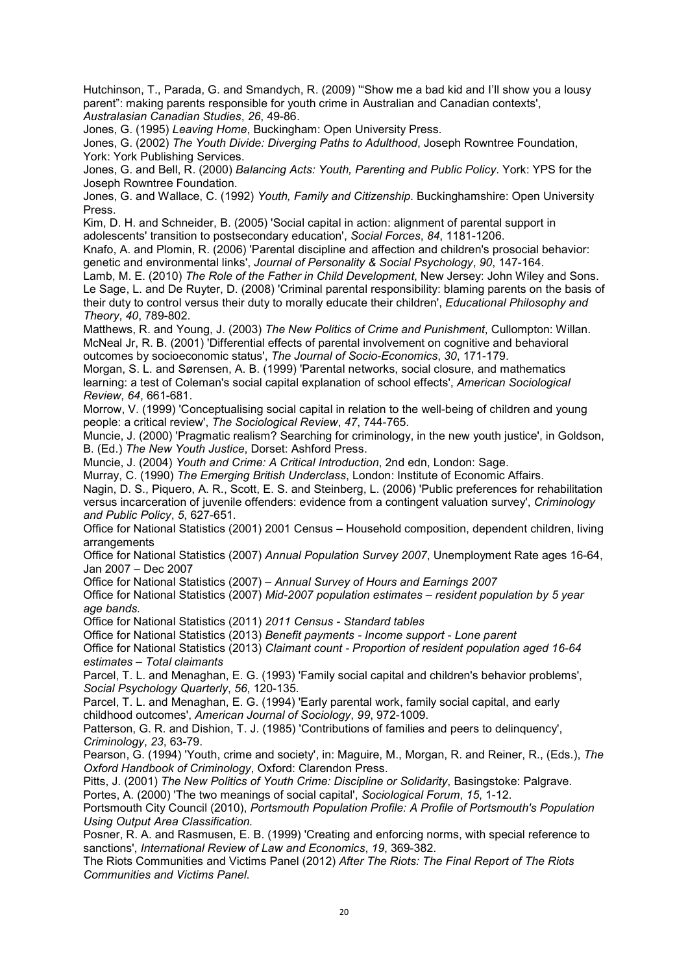Hutchinson, T., Parada, G. and Smandych, R. (2009) '"Show me a bad kid and I'll show you a lousy parent": making parents responsible for youth crime in Australian and Canadian contexts', *Australasian Canadian Studies*, *26*, 49-86.

Jones, G. (1995) *Leaving Home*, Buckingham: Open University Press.

Jones, G. (2002) *The Youth Divide: Diverging Paths to Adulthood*, Joseph Rowntree Foundation, York: York Publishing Services.

Jones, G. and Bell, R. (2000) *Balancing Acts: Youth, Parenting and Public Policy*. York: YPS for the Joseph Rowntree Foundation.

Jones, G. and Wallace, C. (1992) *Youth, Family and Citizenship*. Buckinghamshire: Open University Press.

Kim, D. H. and Schneider, B. (2005) 'Social capital in action: alignment of parental support in adolescents' transition to postsecondary education', *Social Forces*, *84*, 1181-1206.

Knafo, A. and Plomin, R. (2006) 'Parental discipline and affection and children's prosocial behavior: genetic and environmental links', *Journal of Personality & Social Psychology*, *90*, 147-164.

Lamb, M. E. (2010) *The Role of the Father in Child Development*, New Jersey: John Wiley and Sons. Le Sage, L. and De Ruyter, D. (2008) 'Criminal parental responsibility: blaming parents on the basis of their duty to control versus their duty to morally educate their children', *Educational Philosophy and Theory*, *40*, 789-802.

Matthews, R. and Young, J. (2003) *The New Politics of Crime and Punishment*, Cullompton: Willan. McNeal Jr, R. B. (2001) 'Differential effects of parental involvement on cognitive and behavioral outcomes by socioeconomic status', *The Journal of Socio-Economics*, *30*, 171-179.

Morgan, S. L. and Sørensen, A. B. (1999) 'Parental networks, social closure, and mathematics learning: a test of Coleman's social capital explanation of school effects', *American Sociological Review*, *64*, 661-681.

Morrow, V. (1999) 'Conceptualising social capital in relation to the well-being of children and young people: a critical review', *The Sociological Review*, *47*, 744-765.

Muncie, J. (2000) 'Pragmatic realism? Searching for criminology, in the new youth justice', in Goldson, B. (Ed.) *The New Youth Justice*, Dorset: Ashford Press.

Muncie, J. (2004) *Youth and Crime: A Critical Introduction*, 2nd edn, London: Sage.

Murray, C. (1990) *The Emerging British Underclass*, London: Institute of Economic Affairs.

Nagin, D. S., Piquero, A. R., Scott, E. S. and Steinberg, L. (2006) 'Public preferences for rehabilitation versus incarceration of juvenile offenders: evidence from a contingent valuation survey', *Criminology and Public Policy*, *5*, 627-651.

Office for National Statistics (2001) 2001 Census – Household composition, dependent children, living arrangements

Office for National Statistics (2007) *Annual Population Survey 2007*, Unemployment Rate ages 16-64, Jan 2007 – Dec 2007

Office for National Statistics (2007) – *Annual Survey of Hours and Earnings 2007* 

Office for National Statistics (2007) *Mid-2007 population estimates – resident population by 5 year age bands.* 

Office for National Statistics (2011) *2011 Census - Standard tables*

Office for National Statistics (2013) *Benefit payments - Income support - Lone parent*

Office for National Statistics (2013) *Claimant count - Proportion of resident population aged 16-64 estimates – Total claimants*

Parcel, T. L. and Menaghan, E. G. (1993) 'Family social capital and children's behavior problems', *Social Psychology Quarterly*, *56*, 120-135.

Parcel, T. L. and Menaghan, E. G. (1994) 'Early parental work, family social capital, and early childhood outcomes', *American Journal of Sociology*, *99*, 972-1009.

Patterson, G. R. and Dishion, T. J. (1985) 'Contributions of families and peers to delinquency', *Criminology*, *23*, 63-79.

Pearson, G. (1994) 'Youth, crime and society', in: Maguire, M., Morgan, R. and Reiner, R., (Eds.), *The Oxford Handbook of Criminology*, Oxford: Clarendon Press.

Pitts, J. (2001) *The New Politics of Youth Crime: Discipline or Solidarity*, Basingstoke: Palgrave. Portes, A. (2000) 'The two meanings of social capital', *Sociological Forum*, *15*, 1-12.

Portsmouth City Council (2010), *Portsmouth Population Profile: A Profile of Portsmouth's Population Using Output Area Classification.*

Posner, R. A. and Rasmusen, E. B. (1999) 'Creating and enforcing norms, with special reference to sanctions', *International Review of Law and Economics*, *19*, 369-382.

The Riots Communities and Victims Panel (2012) *After The Riots: The Final Report of The Riots Communities and Victims Panel*.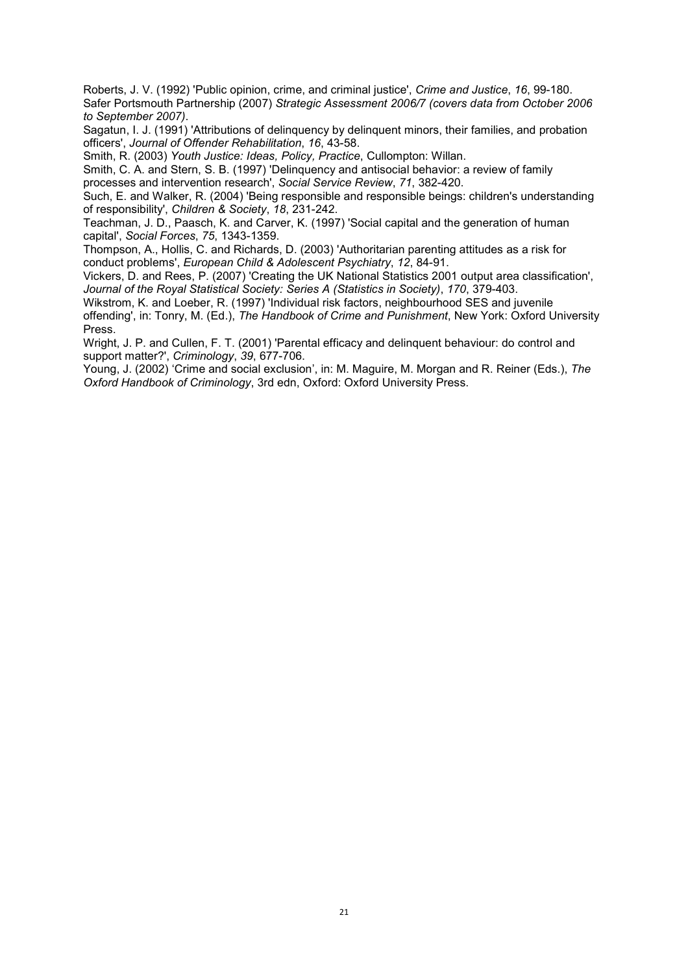Roberts, J. V. (1992) 'Public opinion, crime, and criminal justice', *Crime and Justice*, *16*, 99-180. Safer Portsmouth Partnership (2007) *Strategic Assessment 2006/7 (covers data from October 2006 to September 2007)*.

Sagatun, I. J. (1991) 'Attributions of delinquency by delinquent minors, their families, and probation officers', *Journal of Offender Rehabilitation*, *16*, 43-58.

Smith, R. (2003) *Youth Justice: Ideas, Policy, Practice*, Cullompton: Willan.

Smith, C. A. and Stern, S. B. (1997) 'Delinquency and antisocial behavior: a review of family processes and intervention research', *Social Service Review*, *71*, 382-420.

Such, E. and Walker, R. (2004) 'Being responsible and responsible beings: children's understanding of responsibility', *Children & Society*, *18*, 231-242.

Teachman, J. D., Paasch, K. and Carver, K. (1997) 'Social capital and the generation of human capital', *Social Forces*, *75*, 1343-1359.

Thompson, A., Hollis, C. and Richards, D. (2003) 'Authoritarian parenting attitudes as a risk for conduct problems', *European Child & Adolescent Psychiatry*, *12*, 84-91.

Vickers, D. and Rees, P. (2007) 'Creating the UK National Statistics 2001 output area classification', *Journal of the Royal Statistical Society: Series A (Statistics in Society)*, *170*, 379-403.

Wikstrom, K. and Loeber, R. (1997) 'Individual risk factors, neighbourhood SES and juvenile offending', in: Tonry, M. (Ed.), *The Handbook of Crime and Punishment*, New York: Oxford University Press.

Wright, J. P. and Cullen, F. T. (2001) 'Parental efficacy and delinquent behaviour: do control and support matter?', *Criminology*, *39*, 677-706.

Young, J. (2002) 'Crime and social exclusion', in: M. Maguire, M. Morgan and R. Reiner (Eds.), *The Oxford Handbook of Criminology*, 3rd edn, Oxford: Oxford University Press.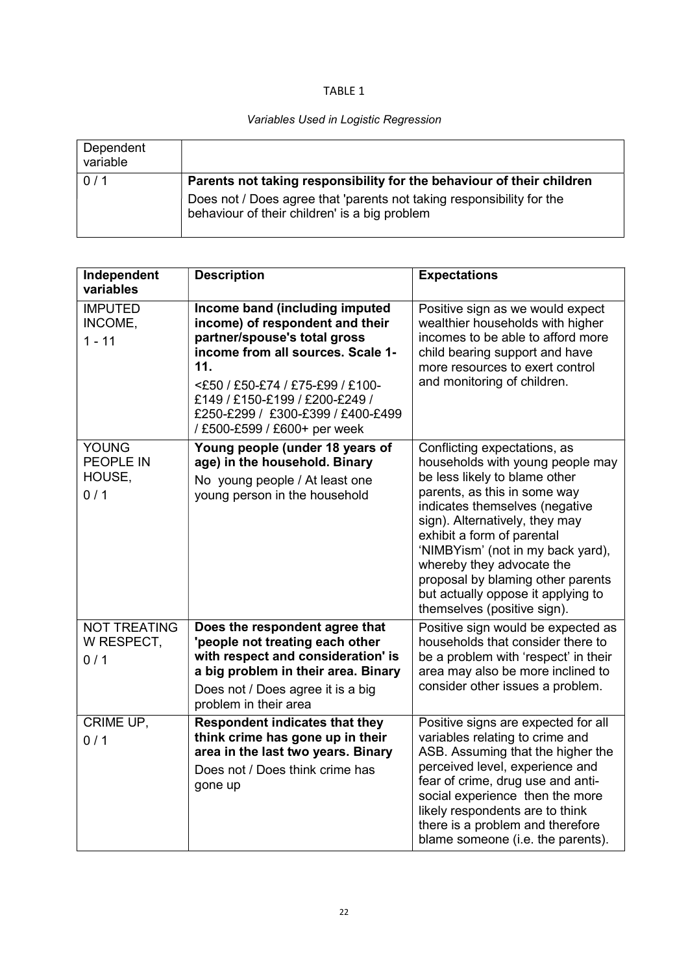## TABLE 1

# *Variables Used in Logistic Regression*

| Dependent<br>variable |                                                                                                                        |
|-----------------------|------------------------------------------------------------------------------------------------------------------------|
| 0/1                   | Parents not taking responsibility for the behaviour of their children                                                  |
|                       | Does not / Does agree that 'parents not taking responsibility for the<br>behaviour of their children' is a big problem |

| Independent<br>variables                   | <b>Description</b>                                                                                                                                                                                                                                                                       | <b>Expectations</b>                                                                                                                                                                                                                                                                                                                                                                                             |  |  |
|--------------------------------------------|------------------------------------------------------------------------------------------------------------------------------------------------------------------------------------------------------------------------------------------------------------------------------------------|-----------------------------------------------------------------------------------------------------------------------------------------------------------------------------------------------------------------------------------------------------------------------------------------------------------------------------------------------------------------------------------------------------------------|--|--|
| <b>IMPUTED</b><br>INCOME,<br>$1 - 11$      | Income band (including imputed<br>income) of respondent and their<br>partner/spouse's total gross<br>income from all sources. Scale 1-<br>11.<br><£50 / £50-£74 / £75-£99 / £100-<br>£149 / £150-£199 / £200-£249 /<br>£250-£299 / £300-£399 / £400-£499<br>/ £500-£599 / £600+ per week | Positive sign as we would expect<br>wealthier households with higher<br>incomes to be able to afford more<br>child bearing support and have<br>more resources to exert control<br>and monitoring of children.                                                                                                                                                                                                   |  |  |
| <b>YOUNG</b><br>PEOPLE IN<br>HOUSE,<br>0/1 | Young people (under 18 years of<br>age) in the household. Binary<br>No young people / At least one<br>young person in the household                                                                                                                                                      | Conflicting expectations, as<br>households with young people may<br>be less likely to blame other<br>parents, as this in some way<br>indicates themselves (negative<br>sign). Alternatively, they may<br>exhibit a form of parental<br>'NIMBYism' (not in my back yard),<br>whereby they advocate the<br>proposal by blaming other parents<br>but actually oppose it applying to<br>themselves (positive sign). |  |  |
| <b>NOT TREATING</b><br>W RESPECT,<br>0/1   | Does the respondent agree that<br>'people not treating each other<br>with respect and consideration' is<br>a big problem in their area. Binary<br>Does not / Does agree it is a big<br>problem in their area                                                                             | Positive sign would be expected as<br>households that consider there to<br>be a problem with 'respect' in their<br>area may also be more inclined to<br>consider other issues a problem.                                                                                                                                                                                                                        |  |  |
| CRIME UP,<br>0/1                           | <b>Respondent indicates that they</b><br>think crime has gone up in their<br>area in the last two years. Binary<br>Does not / Does think crime has<br>gone up                                                                                                                            | Positive signs are expected for all<br>variables relating to crime and<br>ASB. Assuming that the higher the<br>perceived level, experience and<br>fear of crime, drug use and anti-<br>social experience then the more<br>likely respondents are to think<br>there is a problem and therefore<br>blame someone (i.e. the parents).                                                                              |  |  |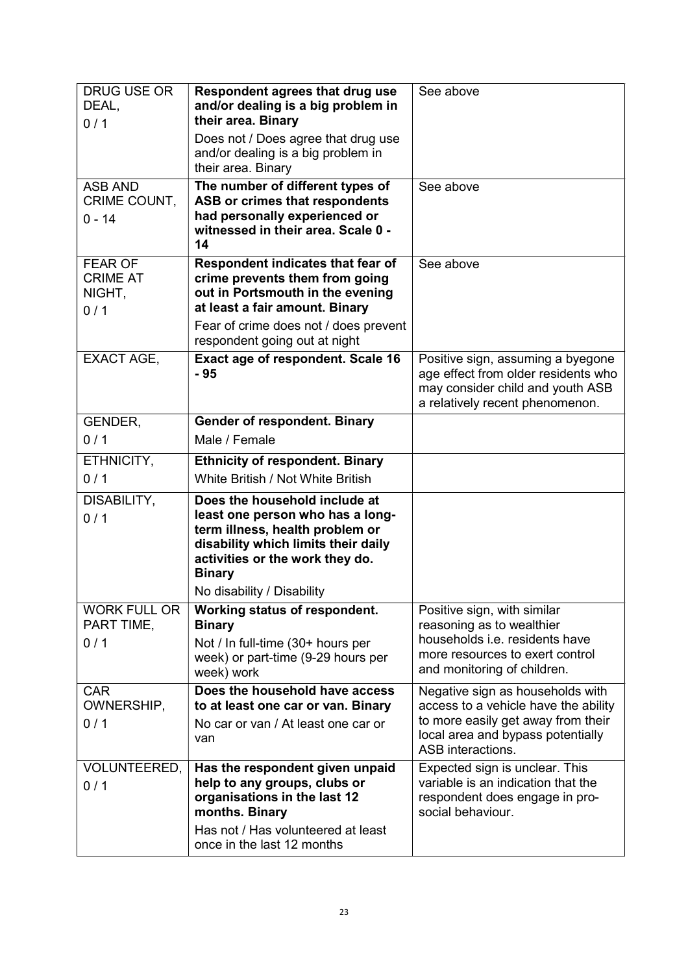| <b>DRUG USE OR</b><br>DEAL,                        | Respondent agrees that drug use<br>and/or dealing is a big problem in                                                                                                                                                         | See above                                                                                                                                                                |
|----------------------------------------------------|-------------------------------------------------------------------------------------------------------------------------------------------------------------------------------------------------------------------------------|--------------------------------------------------------------------------------------------------------------------------------------------------------------------------|
| 0/1                                                | their area. Binary<br>Does not / Does agree that drug use                                                                                                                                                                     |                                                                                                                                                                          |
|                                                    | and/or dealing is a big problem in<br>their area. Binary                                                                                                                                                                      |                                                                                                                                                                          |
| <b>ASB AND</b><br>CRIME COUNT,<br>$0 - 14$         | The number of different types of<br>ASB or crimes that respondents<br>had personally experienced or<br>witnessed in their area. Scale 0 -<br>14                                                                               | See above                                                                                                                                                                |
| <b>FEAR OF</b><br><b>CRIME AT</b><br>NIGHT,<br>0/1 | Respondent indicates that fear of<br>crime prevents them from going<br>out in Portsmouth in the evening<br>at least a fair amount. Binary                                                                                     | See above                                                                                                                                                                |
|                                                    | Fear of crime does not / does prevent<br>respondent going out at night                                                                                                                                                        |                                                                                                                                                                          |
| <b>EXACT AGE,</b>                                  | Exact age of respondent. Scale 16<br>- 95                                                                                                                                                                                     | Positive sign, assuming a byegone<br>age effect from older residents who<br>may consider child and youth ASB<br>a relatively recent phenomenon.                          |
| GENDER,                                            | <b>Gender of respondent. Binary</b>                                                                                                                                                                                           |                                                                                                                                                                          |
| 0/1                                                | Male / Female                                                                                                                                                                                                                 |                                                                                                                                                                          |
| ETHNICITY,<br>0/1                                  | <b>Ethnicity of respondent. Binary</b><br>White British / Not White British                                                                                                                                                   |                                                                                                                                                                          |
| DISABILITY,<br>0/1                                 | Does the household include at<br>least one person who has a long-<br>term illness, health problem or<br>disability which limits their daily<br>activities or the work they do.<br><b>Binary</b><br>No disability / Disability |                                                                                                                                                                          |
| <b>WORK FULL OR</b><br>PART TIME,<br>0/1           | Working status of respondent.<br><b>Binary</b><br>Not / In full-time (30+ hours per<br>week) or part-time (9-29 hours per<br>week) work                                                                                       | Positive sign, with similar<br>reasoning as to wealthier<br>households i.e. residents have<br>more resources to exert control<br>and monitoring of children.             |
| <b>CAR</b><br><b>OWNERSHIP,</b><br>0/1             | Does the household have access<br>to at least one car or van. Binary<br>No car or van / At least one car or<br>van                                                                                                            | Negative sign as households with<br>access to a vehicle have the ability<br>to more easily get away from their<br>local area and bypass potentially<br>ASB interactions. |
| VOLUNTEERED,<br>0/1                                | Has the respondent given unpaid<br>help to any groups, clubs or<br>organisations in the last 12<br>months. Binary<br>Has not / Has volunteered at least<br>once in the last 12 months                                         | Expected sign is unclear. This<br>variable is an indication that the<br>respondent does engage in pro-<br>social behaviour.                                              |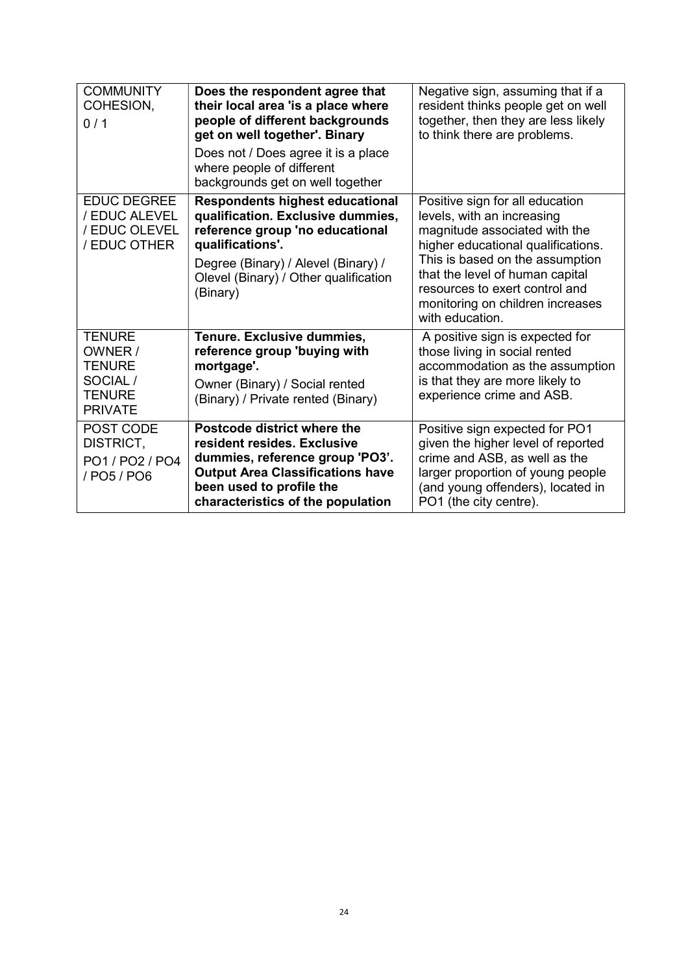| <b>COMMUNITY</b><br>COHESION,<br>0/1                                                     | Does the respondent agree that<br>their local area 'is a place where<br>people of different backgrounds<br>get on well together'. Binary<br>Does not / Does agree it is a place                                                | Negative sign, assuming that if a<br>resident thinks people get on well<br>together, then they are less likely<br>to think there are problems.                                                                                                                                                      |
|------------------------------------------------------------------------------------------|--------------------------------------------------------------------------------------------------------------------------------------------------------------------------------------------------------------------------------|-----------------------------------------------------------------------------------------------------------------------------------------------------------------------------------------------------------------------------------------------------------------------------------------------------|
|                                                                                          | where people of different<br>backgrounds get on well together                                                                                                                                                                  |                                                                                                                                                                                                                                                                                                     |
| <b>EDUC DEGREE</b><br>/ EDUC ALEVEL<br>/ EDUC OLEVEL<br>/ EDUC OTHER                     | <b>Respondents highest educational</b><br>qualification. Exclusive dummies,<br>reference group 'no educational<br>qualifications'.<br>Degree (Binary) / Alevel (Binary) /<br>Olevel (Binary) / Other qualification<br>(Binary) | Positive sign for all education<br>levels, with an increasing<br>magnitude associated with the<br>higher educational qualifications.<br>This is based on the assumption<br>that the level of human capital<br>resources to exert control and<br>monitoring on children increases<br>with education. |
| <b>TENURE</b><br>OWNER /<br><b>TENURE</b><br>SOCIAL /<br><b>TENURE</b><br><b>PRIVATE</b> | Tenure. Exclusive dummies,<br>reference group 'buying with<br>mortgage'.<br>Owner (Binary) / Social rented<br>(Binary) / Private rented (Binary)                                                                               | A positive sign is expected for<br>those living in social rented<br>accommodation as the assumption<br>is that they are more likely to<br>experience crime and ASB.                                                                                                                                 |
| POST CODE<br>DISTRICT,<br>PO1/PO2/PO4<br>/ PO5 / PO6                                     | Postcode district where the<br>resident resides. Exclusive<br>dummies, reference group 'PO3'.<br><b>Output Area Classifications have</b><br>been used to profile the<br>characteristics of the population                      | Positive sign expected for PO1<br>given the higher level of reported<br>crime and ASB, as well as the<br>larger proportion of young people<br>(and young offenders), located in<br>PO1 (the city centre).                                                                                           |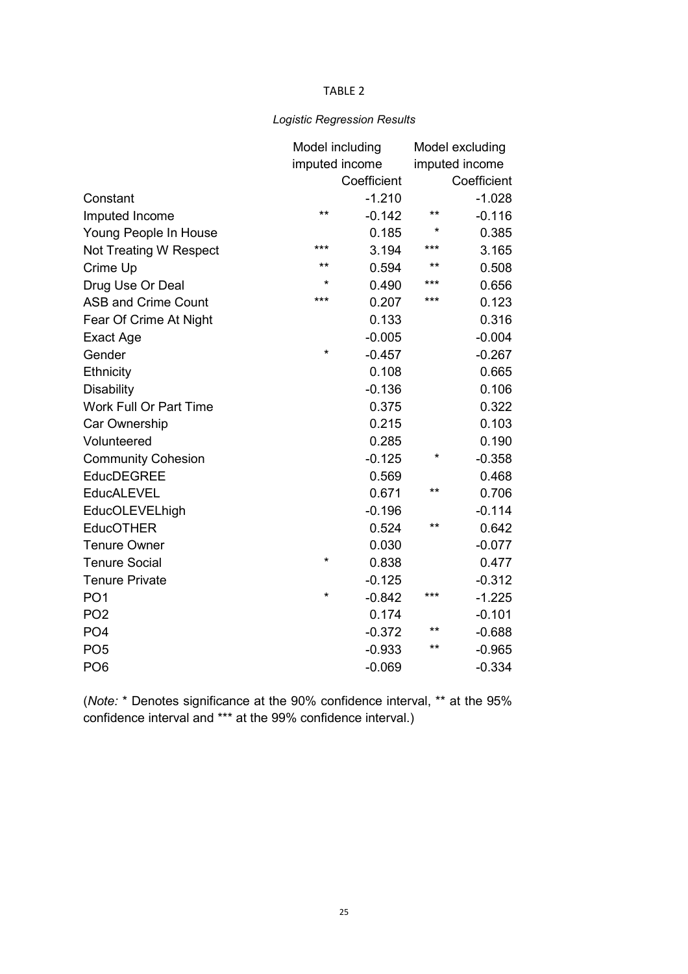## TABLE 2

# *Logistic Regression Results*

|                               | Model including |             | Model excluding |             |
|-------------------------------|-----------------|-------------|-----------------|-------------|
|                               | imputed income  |             | imputed income  |             |
|                               |                 | Coefficient |                 | Coefficient |
| Constant                      |                 | $-1.210$    |                 | $-1.028$    |
| Imputed Income                | $***$           | $-0.142$    | $***$           | $-0.116$    |
| Young People In House         |                 | 0.185       | $\star$         | 0.385       |
| Not Treating W Respect        | ***             | 3.194       | ***             | 3.165       |
| Crime Up                      | $***$           | 0.594       | $***$           | 0.508       |
| Drug Use Or Deal              | $\star$         | 0.490       | ***             | 0.656       |
| <b>ASB and Crime Count</b>    | ***             | 0.207       | ***             | 0.123       |
| Fear Of Crime At Night        |                 | 0.133       |                 | 0.316       |
| Exact Age                     |                 | $-0.005$    |                 | $-0.004$    |
| Gender                        | *               | $-0.457$    |                 | $-0.267$    |
| Ethnicity                     |                 | 0.108       |                 | 0.665       |
| <b>Disability</b>             |                 | $-0.136$    |                 | 0.106       |
| <b>Work Full Or Part Time</b> |                 | 0.375       |                 | 0.322       |
| Car Ownership                 |                 | 0.215       |                 | 0.103       |
| Volunteered                   |                 | 0.285       |                 | 0.190       |
| <b>Community Cohesion</b>     |                 | $-0.125$    | *               | $-0.358$    |
| <b>EducDEGREE</b>             |                 | 0.569       |                 | 0.468       |
| <b>EducALEVEL</b>             |                 | 0.671       | **              | 0.706       |
| EducOLEVELhigh                |                 | $-0.196$    |                 | $-0.114$    |
| <b>EducOTHER</b>              |                 | 0.524       | **              | 0.642       |
| <b>Tenure Owner</b>           |                 | 0.030       |                 | $-0.077$    |
| <b>Tenure Social</b>          | *               | 0.838       |                 | 0.477       |
| <b>Tenure Private</b>         |                 | $-0.125$    |                 | $-0.312$    |
| PO <sub>1</sub>               | $\star$         | $-0.842$    | ***             | $-1.225$    |
| PO <sub>2</sub>               |                 | 0.174       |                 | $-0.101$    |
| PO <sub>4</sub>               |                 | $-0.372$    | **              | $-0.688$    |
| PO <sub>5</sub>               |                 | $-0.933$    | **              | $-0.965$    |
| PO <sub>6</sub>               |                 | $-0.069$    |                 | $-0.334$    |

(*Note:* \* Denotes significance at the 90% confidence interval, \*\* at the 95% confidence interval and \*\*\* at the 99% confidence interval.)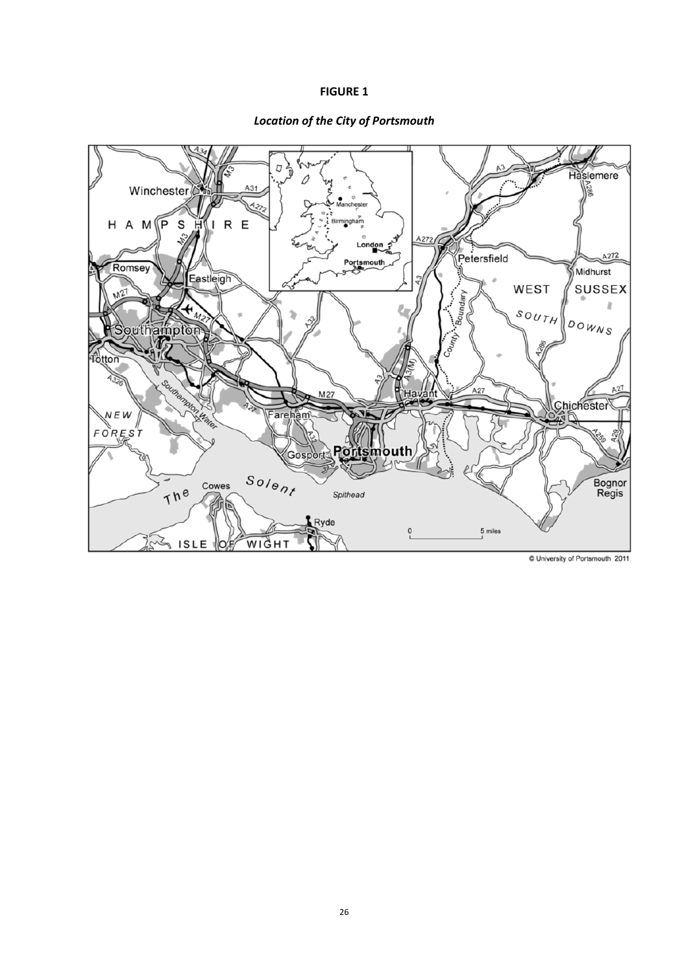## **FIGURE 1**





© University of Portsmouth 2011